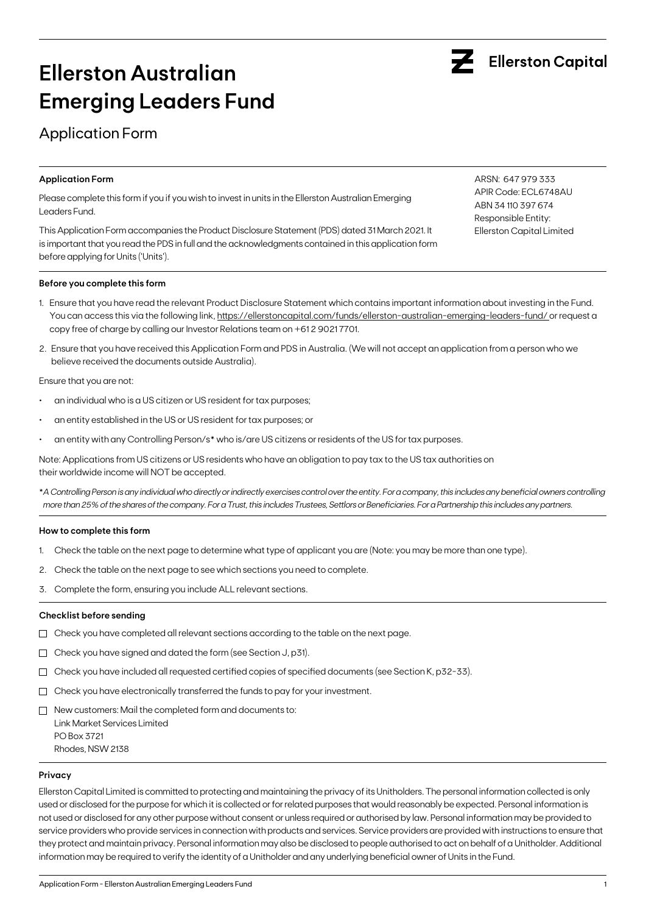

# **Ellerston Australian Emerging Leaders Fund**

## Application Form

### **Application Form**

Please complete this form if you if you wish to invest in units in the Ellerston Australian Emerging Leaders Fund.

This Application Form accompanies the Product Disclosure Statement (PDS) dated 31 March 2021. It is important that you read the PDS in full and the acknowledgments contained in this application form before applying for Units ('Units').

### **Before you complete this form**

- 1. Ensure that you have read the relevant Product Disclosure Statement which contains important information about investing in the Fund. You can access this via the following link, https://ellerstoncapital.com/funds/ellerston-australian-emerging-leaders-fund/ or request a copy free of charge by calling our Investor Relations team on +61 2 9021 7701.
- 2. Ensure that you have received this Application Form and PDS in Australia. (We will not accept an application from a person who we believe received the documents outside Australia).

Ensure that you are not:

- an individual who is a US citizen or US resident for tax purposes;
- an entity established in the US or US resident for tax purposes; or
- an entity with any Controlling Person/s\* who is/are US citizens or residents of the US for tax purposes.

Note: Applications from US citizens or US residents who have an obligation to pay tax to the US tax authorities on their worldwide income will NOT be accepted.

\**A Controlling Person is any individual who directly or indirectly exercises control over the entity. For a company, this includes any beneficial owners controlling more than 25% of the shares of the company. For a Trust, this includes Trustees, Settlors or Beneficiaries. For a Partnership this includes any partners.*

### **How to complete this form**

- 1. Check the table on the next page to determine what type of applicant you are (Note: you may be more than one type).
- 2. Check the table on the next page to see which sections you need to complete.
- 3. Complete the form, ensuring you include ALL relevant sections.

### **Checklist before sending**

- $\Box$  Check you have completed all relevant sections according to the table on the next page.
- $\Box$  Check you have signed and dated the form (see Section J, p31).
- $\Box$  Check you have included all requested certified copies of specified documents (see Section K, p32-33).
- $\Box$  Check you have electronically transferred the funds to pay for your investment.
- $\Box$  New customers: Mail the completed form and documents to: Link Market Services Limited PO Box 3721 Rhodes, NSW 2138

#### **Privacy**

Ellerston Capital Limited is committed to protecting and maintaining the privacy of its Unitholders. The personal information collected is only used or disclosed for the purpose for which it is collected or for related purposes that would reasonably be expected. Personal information is not used or disclosed for any other purpose without consent or unless required or authorised by law. Personal information may be provided to service providers who provide services in connection with products and services. Service providers are provided with instructions to ensure that they protect and maintain privacy. Personal information may also be disclosed to people authorised to act on behalf of a Unitholder. Additional information may be required to verify the identity of a Unitholder and any underlying beneficial owner of Units in the Fund.

ARSN: 647 979 333 APIR Code: ECL6748AU ABN 34 110 397 674 Responsible Entity: Ellerston Capital Limited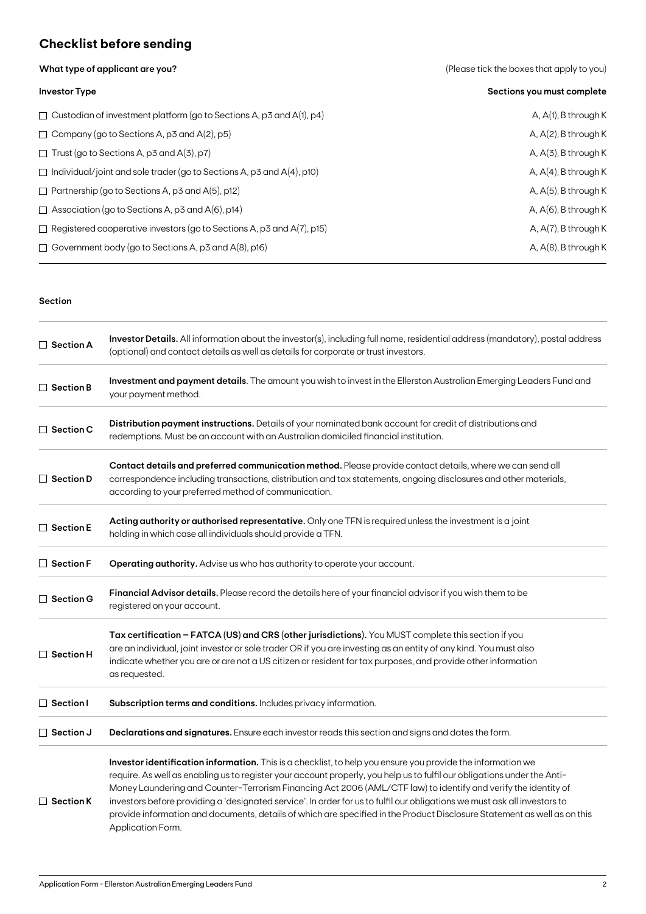## **Checklist before sending**

**What type of applicant are you?** 

|  |  | (Please tick the boxes that apply to you) |  |  |  |
|--|--|-------------------------------------------|--|--|--|
|--|--|-------------------------------------------|--|--|--|

| <b>Investor Type</b>                                                         | Sections you must complete |
|------------------------------------------------------------------------------|----------------------------|
| $\Box$ Custodian of investment platform (go to Sections A, p3 and A(1), p4)  | A, $A(1)$ , B through K    |
| $\Box$ Company (go to Sections A, p3 and A(2), p5)                           | A, $A(2)$ , B through K    |
| $\Box$ Trust (go to Sections A, p3 and A(3), p7)                             | $A, A(3)$ , B through K    |
| $\Box$ Individual/joint and sole trader (go to Sections A, p3 and A(4), p10) | A, $A(4)$ , B through K    |
| $\Box$ Partnership (go to Sections A, p3 and A(5), p12)                      | $A, A(5)$ , B through K    |
| $\Box$ Association (go to Sections A, p3 and A(6), p14)                      | A, $A(6)$ , B through K    |
| $\Box$ Registered cooperative investors (go to Sections A, p3 and A(7), p15) | A, $A(7)$ , B through K    |
| $\Box$ Government body (go to Sections A, p3 and A(8), p16)                  | A, $A(8)$ , B through K    |

### **Section**

| $\Box$ Section A                                                                                                                                                                            | Investor Details. All information about the investor(s), including full name, residential address (mandatory), postal address<br>(optional) and contact details as well as details for corporate or trust investors.                                                                                                                                                                                                                                                                                                                                                                                                                    |  |  |  |  |
|---------------------------------------------------------------------------------------------------------------------------------------------------------------------------------------------|-----------------------------------------------------------------------------------------------------------------------------------------------------------------------------------------------------------------------------------------------------------------------------------------------------------------------------------------------------------------------------------------------------------------------------------------------------------------------------------------------------------------------------------------------------------------------------------------------------------------------------------------|--|--|--|--|
| $\Box$ Section B                                                                                                                                                                            | Investment and payment details. The amount you wish to invest in the Ellerston Australian Emerging Leaders Fund and<br>your payment method.                                                                                                                                                                                                                                                                                                                                                                                                                                                                                             |  |  |  |  |
| $\Box$ Section C                                                                                                                                                                            | Distribution payment instructions. Details of your nominated bank account for credit of distributions and<br>redemptions. Must be an account with an Australian domiciled financial institution.                                                                                                                                                                                                                                                                                                                                                                                                                                        |  |  |  |  |
| $\Box$ Section D                                                                                                                                                                            | Contact details and preferred communication method. Please provide contact details, where we can send all<br>correspondence including transactions, distribution and tax statements, ongoing disclosures and other materials,<br>according to your preferred method of communication.                                                                                                                                                                                                                                                                                                                                                   |  |  |  |  |
| Acting authority or authorised representative. Only one TFN is required unless the investment is a joint<br>$\Box$ Section E<br>holding in which case all individuals should provide a TFN. |                                                                                                                                                                                                                                                                                                                                                                                                                                                                                                                                                                                                                                         |  |  |  |  |
| $\Box$ Section F                                                                                                                                                                            | Operating authority. Advise us who has authority to operate your account.                                                                                                                                                                                                                                                                                                                                                                                                                                                                                                                                                               |  |  |  |  |
| $\Box$ Section G                                                                                                                                                                            | Financial Advisor details. Please record the details here of your financial advisor if you wish them to be<br>registered on your account.                                                                                                                                                                                                                                                                                                                                                                                                                                                                                               |  |  |  |  |
| $\Box$ Section H                                                                                                                                                                            | Tax certification - FATCA (US) and CRS (other jurisdictions). You MUST complete this section if you<br>are an individual, joint investor or sole trader OR if you are investing as an entity of any kind. You must also<br>indicate whether you are or are not a US citizen or resident for tax purposes, and provide other information<br>as requested.                                                                                                                                                                                                                                                                                |  |  |  |  |
| $\Box$ Section I                                                                                                                                                                            | Subscription terms and conditions. Includes privacy information.                                                                                                                                                                                                                                                                                                                                                                                                                                                                                                                                                                        |  |  |  |  |
| $\Box$ Section J<br>Declarations and signatures. Ensure each investor reads this section and signs and dates the form.                                                                      |                                                                                                                                                                                                                                                                                                                                                                                                                                                                                                                                                                                                                                         |  |  |  |  |
| $\Box$ Section K                                                                                                                                                                            | Investor identification information. This is a checklist, to help you ensure you provide the information we<br>require. As well as enabling us to register your account properly, you help us to fulfil our obligations under the Anti-<br>Money Laundering and Counter-Terrorism Financing Act 2006 (AML/CTF law) to identify and verify the identity of<br>investors before providing a 'designated service'. In order for us to fulfil our obligations we must ask all investors to<br>provide information and documents, details of which are specified in the Product Disclosure Statement as well as on this<br>Application Form. |  |  |  |  |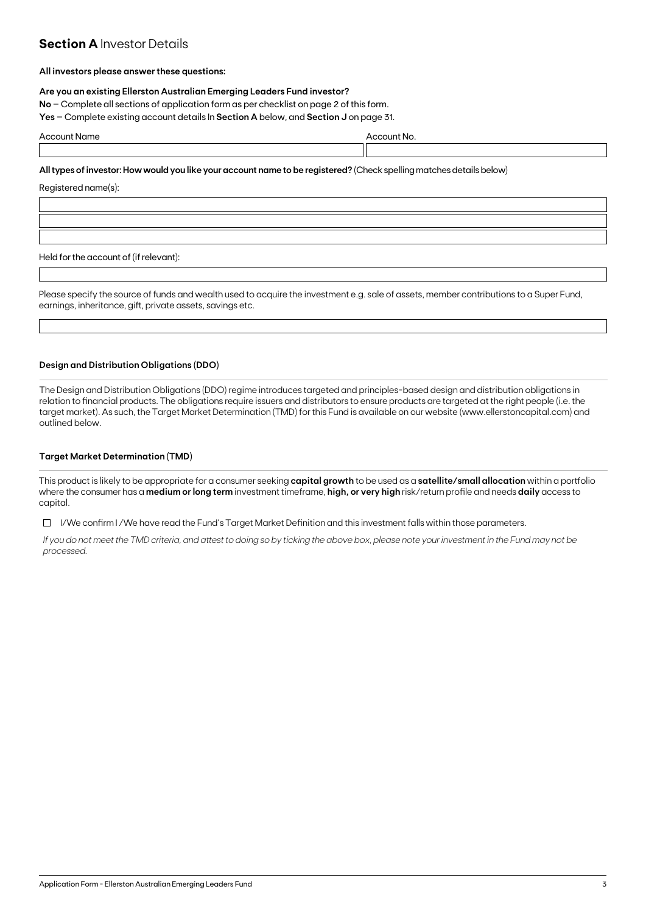### **Section A Investor Details**

### **All investors please answer these questions:**

### **Are you an existing Ellerston Australian Emerging Leaders Fund investor?**

**No** – Complete all sections of application form as per checklist on page 2 of this form.

**Yes** – Complete existing account details In **Section A** below, and **Section J** on page 31.

| Accor | unt N |  |
|-------|-------|--|
| пе    | ωı    |  |
|       |       |  |

**All types of investor: How would you like your account name to be registered?** (Check spelling matches details below)

Registered name(s):

Held for the account of (if relevant):

Please specify the source of funds and wealth used to acquire the investment e.g. sale of assets, member contributions to a Super Fund, earnings, inheritance, gift, private assets, savings etc.

### **Design and Distribution Obligations (DDO)**

The Design and Distribution Obligations (DDO) regime introduces targeted and principles-based design and distribution obligations in relation to financial products. The obligations require issuers and distributors to ensure products are targeted at the right people (i.e. the target market). As such, the Target Market Determination (TMD) for this Fund is available on our website (www.ellerstoncapital.com) and outlined below.

### **Target Market Determination (TMD)**

This product is likely to be appropriate for a consumer seeking **capital growth** to be used as a **satellite/small allocation** within a portfolio where the consumer has a **medium or long term** investment timeframe, **high, or very high** risk/return profile and needs **daily** access to capital.

 $\Box$  I/We confirm I/We have read the Fund's Target Market Definition and this investment falls within those parameters.

*If you do not meet the TMD criteria, and attest to doing so by ticking the above box, please note your investment in the Fund may not be processed.*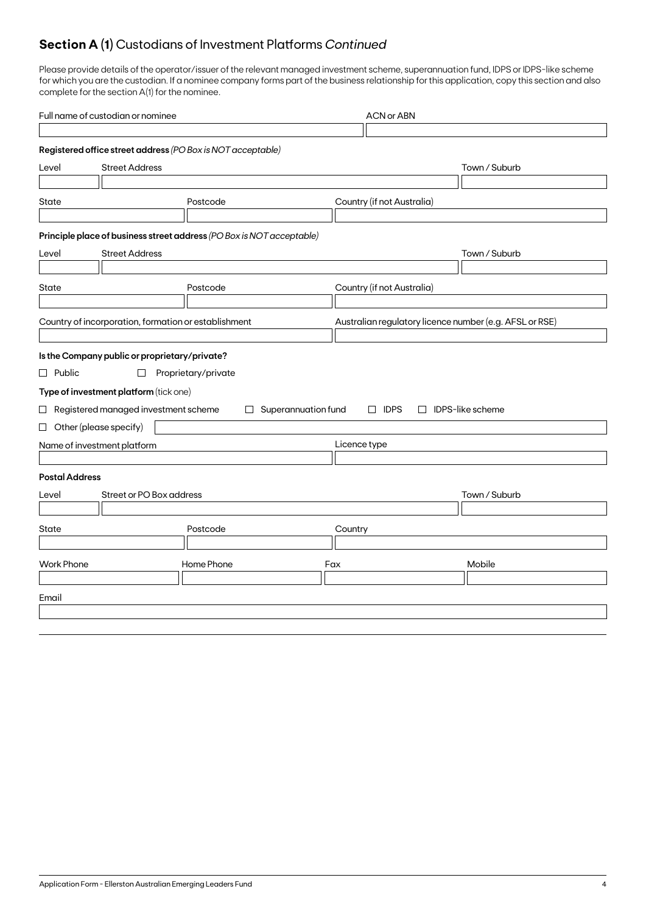## **Section A (1)** Custodians of Investment Platforms *Continued*

Please provide details of the operator/issuer of the relevant managed investment scheme, superannuation fund, IDPS or IDPS-like scheme for which you are the custodian. If a nominee company forms part of the business relationship for this application, copy this section and also complete for the section A(1) for the nominee.

| Full name of custodian or nominee |                                                      |                                                                       |                     | <b>ACN or ABN</b>                                       |                         |               |  |  |
|-----------------------------------|------------------------------------------------------|-----------------------------------------------------------------------|---------------------|---------------------------------------------------------|-------------------------|---------------|--|--|
|                                   |                                                      |                                                                       |                     |                                                         |                         |               |  |  |
|                                   |                                                      | Registered office street address (PO Box is NOT acceptable)           |                     |                                                         |                         |               |  |  |
| Level                             | <b>Street Address</b>                                |                                                                       |                     |                                                         |                         | Town / Suburb |  |  |
|                                   |                                                      |                                                                       |                     |                                                         |                         |               |  |  |
| State<br>Postcode                 |                                                      |                                                                       |                     | Country (if not Australia)                              |                         |               |  |  |
|                                   |                                                      |                                                                       |                     |                                                         |                         |               |  |  |
|                                   |                                                      | Principle place of business street address (PO Box is NOT acceptable) |                     |                                                         |                         |               |  |  |
| Level                             | <b>Street Address</b>                                |                                                                       |                     |                                                         |                         | Town / Suburb |  |  |
|                                   |                                                      |                                                                       |                     |                                                         |                         |               |  |  |
| State                             |                                                      | Postcode                                                              |                     | Country (if not Australia)                              |                         |               |  |  |
|                                   |                                                      |                                                                       |                     |                                                         |                         |               |  |  |
|                                   | Country of incorporation, formation or establishment |                                                                       |                     | Australian regulatory licence number (e.g. AFSL or RSE) |                         |               |  |  |
|                                   |                                                      |                                                                       |                     |                                                         |                         |               |  |  |
|                                   | Is the Company public or proprietary/private?        |                                                                       |                     |                                                         |                         |               |  |  |
| $\Box$ Public                     | $\Box$                                               | Proprietary/private                                                   |                     |                                                         |                         |               |  |  |
|                                   | Type of investment platform (tick one)               |                                                                       |                     |                                                         |                         |               |  |  |
|                                   | $\Box$ Registered managed investment scheme          | $\Box$                                                                | Superannuation fund | $\Box$ IDPS                                             | $\Box$ IDPS-like scheme |               |  |  |
|                                   | $\Box$ Other (please specify)                        |                                                                       |                     |                                                         |                         |               |  |  |
|                                   | Name of investment platform                          |                                                                       |                     | Licence type                                            |                         |               |  |  |
|                                   |                                                      |                                                                       |                     |                                                         |                         |               |  |  |
| <b>Postal Address</b>             |                                                      |                                                                       |                     |                                                         |                         |               |  |  |
| Level                             | Street or PO Box address                             |                                                                       |                     |                                                         |                         | Town / Suburb |  |  |
|                                   |                                                      |                                                                       |                     |                                                         |                         |               |  |  |
| Postcode<br>State<br>Country      |                                                      |                                                                       |                     |                                                         |                         |               |  |  |
|                                   |                                                      |                                                                       |                     |                                                         |                         |               |  |  |
| <b>Work Phone</b>                 |                                                      | Home Phone                                                            |                     | Fax                                                     |                         | Mobile        |  |  |
|                                   |                                                      |                                                                       |                     |                                                         |                         |               |  |  |
| Email                             |                                                      |                                                                       |                     |                                                         |                         |               |  |  |
|                                   |                                                      |                                                                       |                     |                                                         |                         |               |  |  |
|                                   |                                                      |                                                                       |                     |                                                         |                         |               |  |  |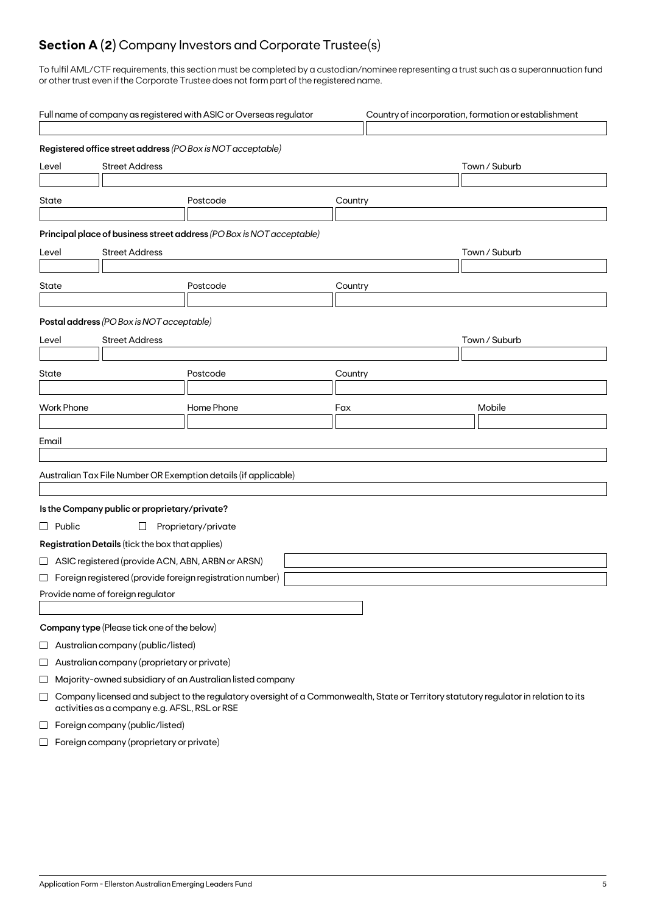## **Section A (2)** Company Investors and Corporate Trustee(s)

To fulfil AML/CTF requirements, this section must be completed by a custodian/nominee representing a trust such as a superannuation fund or other trust even if the Corporate Trustee does not form part of the registered name.

|                                | Full name of company as registered with ASIC or Overseas regulator<br>Country of incorporation, formation or establishment |                                                    |                                                                                                                                                                                                    |         |               |  |  |  |
|--------------------------------|----------------------------------------------------------------------------------------------------------------------------|----------------------------------------------------|----------------------------------------------------------------------------------------------------------------------------------------------------------------------------------------------------|---------|---------------|--|--|--|
|                                |                                                                                                                            |                                                    | Registered office street address (PO Box is NOT acceptable)                                                                                                                                        |         |               |  |  |  |
| <b>Street Address</b><br>Level |                                                                                                                            |                                                    |                                                                                                                                                                                                    |         | Town / Suburb |  |  |  |
| State                          |                                                                                                                            |                                                    | Postcode                                                                                                                                                                                           | Country |               |  |  |  |
|                                |                                                                                                                            |                                                    | Principal place of business street address (PO Box is NOT acceptable)                                                                                                                              |         |               |  |  |  |
| <b>Street Address</b><br>Level |                                                                                                                            |                                                    |                                                                                                                                                                                                    |         | Town / Suburb |  |  |  |
| State                          |                                                                                                                            |                                                    | Postcode                                                                                                                                                                                           | Country |               |  |  |  |
|                                |                                                                                                                            |                                                    |                                                                                                                                                                                                    |         |               |  |  |  |
|                                |                                                                                                                            | Postal address (PO Box is NOT acceptable)          |                                                                                                                                                                                                    |         |               |  |  |  |
| Level                          |                                                                                                                            | <b>Street Address</b>                              |                                                                                                                                                                                                    |         | Town / Suburb |  |  |  |
| State                          |                                                                                                                            |                                                    | Postcode                                                                                                                                                                                           | Country |               |  |  |  |
|                                |                                                                                                                            |                                                    |                                                                                                                                                                                                    |         |               |  |  |  |
|                                | <b>Work Phone</b>                                                                                                          |                                                    | Home Phone                                                                                                                                                                                         | Fax     | Mobile        |  |  |  |
|                                |                                                                                                                            |                                                    |                                                                                                                                                                                                    |         |               |  |  |  |
| Email                          |                                                                                                                            |                                                    |                                                                                                                                                                                                    |         |               |  |  |  |
|                                |                                                                                                                            |                                                    | Australian Tax File Number OR Exemption details (if applicable)                                                                                                                                    |         |               |  |  |  |
|                                |                                                                                                                            |                                                    |                                                                                                                                                                                                    |         |               |  |  |  |
|                                |                                                                                                                            | Is the Company public or proprietary/private?      |                                                                                                                                                                                                    |         |               |  |  |  |
|                                | $\Box$ Public                                                                                                              | $\Box$                                             | Proprietary/private                                                                                                                                                                                |         |               |  |  |  |
|                                |                                                                                                                            | Registration Details (tick the box that applies)   |                                                                                                                                                                                                    |         |               |  |  |  |
|                                |                                                                                                                            | □ ASIC registered (provide ACN, ABN, ARBN or ARSN) |                                                                                                                                                                                                    |         |               |  |  |  |
|                                |                                                                                                                            |                                                    | $\Box$ Foreign registered (provide foreign registration number)                                                                                                                                    |         |               |  |  |  |
|                                |                                                                                                                            | Provide name of foreign regulator                  |                                                                                                                                                                                                    |         |               |  |  |  |
|                                |                                                                                                                            |                                                    |                                                                                                                                                                                                    |         |               |  |  |  |
|                                |                                                                                                                            | Company type (Please tick one of the below)        |                                                                                                                                                                                                    |         |               |  |  |  |
| $\sqcup$                       |                                                                                                                            | Australian company (public/listed)                 |                                                                                                                                                                                                    |         |               |  |  |  |
| $\Box$                         |                                                                                                                            | Australian company (proprietary or private)        |                                                                                                                                                                                                    |         |               |  |  |  |
| ⊔<br>$\Box$                    |                                                                                                                            | activities as a company e.g. AFSL, RSL or RSE      | Majority-owned subsidiary of an Australian listed company<br>Company licensed and subject to the regulatory oversight of a Commonwealth, State or Territory statutory regulator in relation to its |         |               |  |  |  |
| ப                              |                                                                                                                            | Foreign company (public/listed)                    |                                                                                                                                                                                                    |         |               |  |  |  |
|                                |                                                                                                                            |                                                    |                                                                                                                                                                                                    |         |               |  |  |  |

 $\Box$  Foreign company (proprietary or private)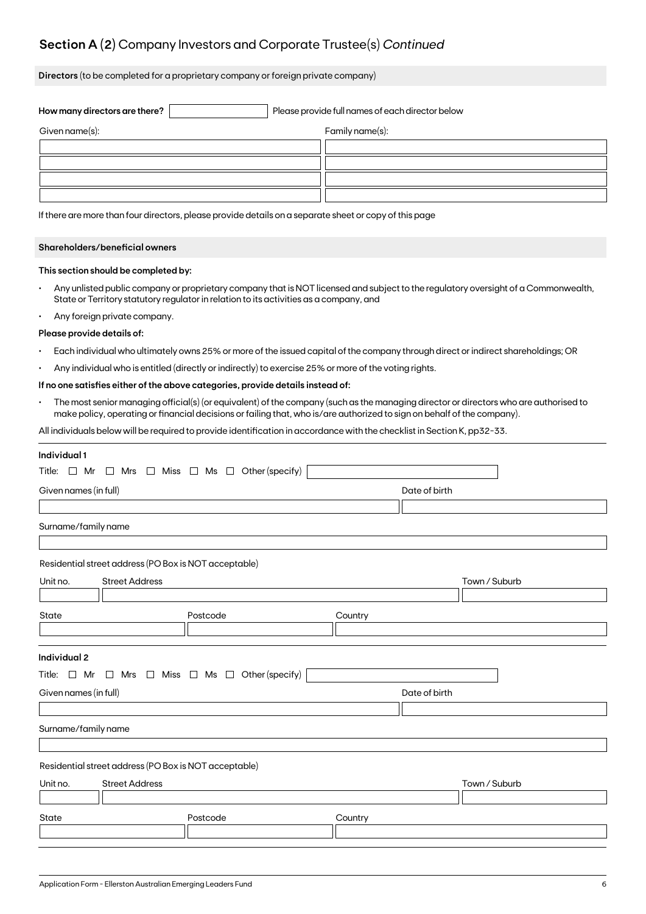## **Section A (2)** Company Investors and Corporate Trustee(s) *Continued*

**Directors** (to be completed for a proprietary company or foreign private company)

| How many directors are there? | Please provide full names of each director below |
|-------------------------------|--------------------------------------------------|
| Given name(s):                | Family name(s):                                  |
|                               |                                                  |
|                               |                                                  |
|                               |                                                  |
|                               |                                                  |

If there are more than four directors, please provide details on a separate sheet or copy of this page

### **Shareholders/beneficial owners**

### **This section should be completed by:**

- Any unlisted public company or proprietary company that is NOT licensed and subject to the regulatory oversight of a Commonwealth, State or Territory statutory regulator in relation to its activities as a company, and
- Any foreign private company.

#### **Please provide details of:**

- Each individual who ultimately owns 25% or more of the issued capital of the company through direct or indirect shareholdings; OR
- Any individual who is entitled (directly or indirectly) to exercise 25% or more of the voting rights.

### **If no one satisfies either of the above categories, provide details instead of:**

• The most senior managing official(s) (or equivalent) of the company (such as the managing director or directors who are authorised to make policy, operating or financial decisions or failing that, who is/are authorized to sign on behalf of the company).

All individuals below will be required to provide identification in accordance with the checklist in Section K, pp32-33.

| Individual 1                                                             |                                                         |               |  |  |  |  |  |  |
|--------------------------------------------------------------------------|---------------------------------------------------------|---------------|--|--|--|--|--|--|
| Title: $\Box$ Mr $\Box$ Mrs $\Box$ Miss $\Box$ Ms $\Box$ Other (specify) |                                                         |               |  |  |  |  |  |  |
| Given names (in full)<br>Date of birth                                   |                                                         |               |  |  |  |  |  |  |
|                                                                          |                                                         |               |  |  |  |  |  |  |
| Surname/family name                                                      |                                                         |               |  |  |  |  |  |  |
|                                                                          |                                                         |               |  |  |  |  |  |  |
|                                                                          | Residential street address (PO Box is NOT acceptable)   |               |  |  |  |  |  |  |
| <b>Street Address</b><br>Unit no.                                        |                                                         | Town / Suburb |  |  |  |  |  |  |
|                                                                          |                                                         |               |  |  |  |  |  |  |
| State                                                                    | Postcode                                                | Country       |  |  |  |  |  |  |
|                                                                          |                                                         |               |  |  |  |  |  |  |
|                                                                          |                                                         |               |  |  |  |  |  |  |
| Individual 2                                                             |                                                         |               |  |  |  |  |  |  |
| Title: $\Box$ Mr                                                         | $\Box$ Mrs $\Box$ Miss $\Box$ Ms $\Box$ Other (specify) |               |  |  |  |  |  |  |
| Given names (in full)                                                    |                                                         | Date of birth |  |  |  |  |  |  |
|                                                                          |                                                         |               |  |  |  |  |  |  |
| Surname/family name                                                      |                                                         |               |  |  |  |  |  |  |
|                                                                          |                                                         |               |  |  |  |  |  |  |
|                                                                          | Residential street address (PO Box is NOT acceptable)   |               |  |  |  |  |  |  |
| <b>Street Address</b><br>Unit no.                                        |                                                         | Town / Suburb |  |  |  |  |  |  |
|                                                                          |                                                         |               |  |  |  |  |  |  |
| State                                                                    | Postcode                                                | Country       |  |  |  |  |  |  |
|                                                                          |                                                         |               |  |  |  |  |  |  |
|                                                                          |                                                         |               |  |  |  |  |  |  |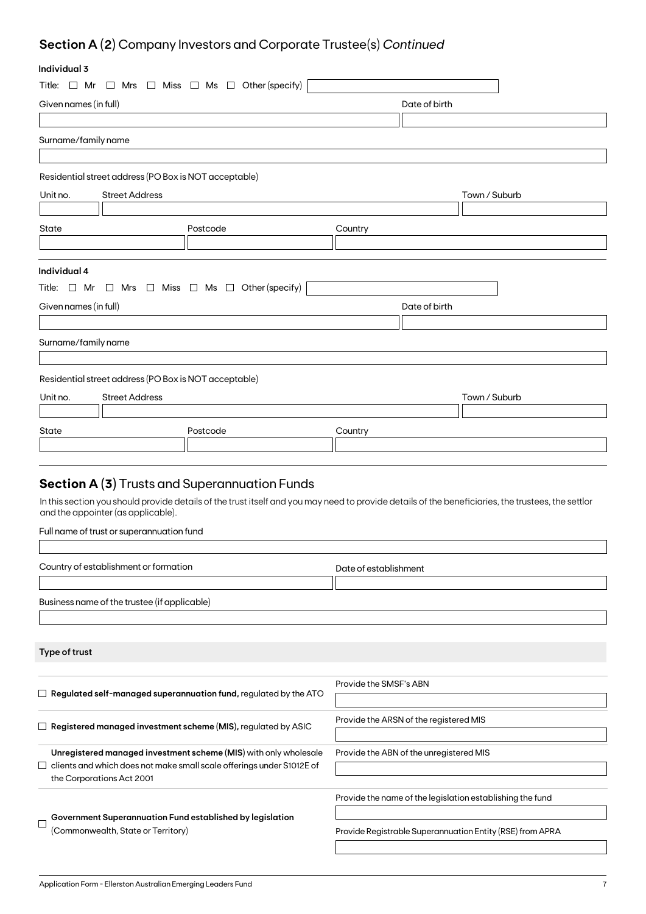## **Section A (2)** Company Investors and Corporate Trustee(s) *Continued*

## **Individual 3**

| ınaıvıauai ə                                                             |                                                       |                                                                                    |                        |                                                                                                                                                    |  |
|--------------------------------------------------------------------------|-------------------------------------------------------|------------------------------------------------------------------------------------|------------------------|----------------------------------------------------------------------------------------------------------------------------------------------------|--|
| Title: $\Box$ Mr                                                         |                                                       | $\Box$ Mrs $\Box$ Miss $\Box$ Ms $\Box$ Other (specify)                            |                        |                                                                                                                                                    |  |
| Given names (in full)                                                    |                                                       |                                                                                    | Date of birth          |                                                                                                                                                    |  |
|                                                                          |                                                       |                                                                                    |                        |                                                                                                                                                    |  |
| Surname/family name                                                      |                                                       |                                                                                    |                        |                                                                                                                                                    |  |
|                                                                          |                                                       |                                                                                    |                        |                                                                                                                                                    |  |
|                                                                          | Residential street address (PO Box is NOT acceptable) |                                                                                    |                        |                                                                                                                                                    |  |
| Unit no.                                                                 | <b>Street Address</b>                                 |                                                                                    |                        | Town / Suburb                                                                                                                                      |  |
|                                                                          |                                                       |                                                                                    |                        |                                                                                                                                                    |  |
| State                                                                    |                                                       | Postcode                                                                           | Country                |                                                                                                                                                    |  |
|                                                                          |                                                       |                                                                                    |                        |                                                                                                                                                    |  |
|                                                                          |                                                       |                                                                                    |                        |                                                                                                                                                    |  |
| Individual 4                                                             |                                                       |                                                                                    |                        |                                                                                                                                                    |  |
|                                                                          |                                                       | Title: $\Box$ Mr $\Box$ Mrs $\Box$ Miss $\Box$ Ms $\Box$ Other (specify)           |                        |                                                                                                                                                    |  |
| Given names (in full)                                                    |                                                       |                                                                                    |                        | Date of birth                                                                                                                                      |  |
|                                                                          |                                                       |                                                                                    |                        |                                                                                                                                                    |  |
| Surname/family name                                                      |                                                       |                                                                                    |                        |                                                                                                                                                    |  |
|                                                                          |                                                       |                                                                                    |                        |                                                                                                                                                    |  |
|                                                                          | Residential street address (PO Box is NOT acceptable) |                                                                                    |                        |                                                                                                                                                    |  |
| Unit no.                                                                 | <b>Street Address</b>                                 |                                                                                    |                        | Town / Suburb                                                                                                                                      |  |
|                                                                          |                                                       |                                                                                    |                        |                                                                                                                                                    |  |
| State                                                                    |                                                       | Postcode                                                                           | Country                |                                                                                                                                                    |  |
|                                                                          |                                                       |                                                                                    |                        |                                                                                                                                                    |  |
|                                                                          |                                                       |                                                                                    |                        |                                                                                                                                                    |  |
|                                                                          |                                                       | <b>Section A (3)</b> Trusts and Superannuation Funds                               |                        |                                                                                                                                                    |  |
|                                                                          |                                                       |                                                                                    |                        |                                                                                                                                                    |  |
|                                                                          | and the appointer (as applicable).                    |                                                                                    |                        | In this section you should provide details of the trust itself and you may need to provide details of the beneficiaries, the trustees, the settlor |  |
|                                                                          | Full name of trust or superannuation fund             |                                                                                    |                        |                                                                                                                                                    |  |
|                                                                          |                                                       |                                                                                    |                        |                                                                                                                                                    |  |
|                                                                          | Country of establishment or formation                 |                                                                                    | Date of establishment  |                                                                                                                                                    |  |
|                                                                          |                                                       |                                                                                    |                        |                                                                                                                                                    |  |
|                                                                          | Business name of the trustee (if applicable)          |                                                                                    |                        |                                                                                                                                                    |  |
|                                                                          |                                                       |                                                                                    |                        |                                                                                                                                                    |  |
|                                                                          |                                                       |                                                                                    |                        |                                                                                                                                                    |  |
| Type of trust                                                            |                                                       |                                                                                    |                        |                                                                                                                                                    |  |
|                                                                          |                                                       |                                                                                    |                        |                                                                                                                                                    |  |
|                                                                          |                                                       |                                                                                    | Provide the SMSF's ABN |                                                                                                                                                    |  |
| $\Box~$ Regulated self-managed superannuation fund, regulated by the ATO |                                                       |                                                                                    |                        |                                                                                                                                                    |  |
|                                                                          |                                                       |                                                                                    |                        | Provide the ARSN of the registered MIS                                                                                                             |  |
|                                                                          |                                                       | $\Box$ Registered managed investment scheme (MIS), regulated by ASIC               |                        |                                                                                                                                                    |  |
|                                                                          |                                                       | Unregistered managed investment scheme (MIS) with only wholesale                   |                        | Provide the ABN of the unregistered MIS                                                                                                            |  |
|                                                                          |                                                       | clients and which does not make small scale offerings under S1012E of              |                        |                                                                                                                                                    |  |
|                                                                          | the Corporations Act 2001                             |                                                                                    |                        |                                                                                                                                                    |  |
|                                                                          |                                                       |                                                                                    |                        | Provide the name of the legislation establishing the fund                                                                                          |  |
|                                                                          |                                                       | $\overline{\phantom{x}}$ Government Superannuation Fund established by legislation |                        |                                                                                                                                                    |  |

(Commonwealth, State or Territory)

Provide Registrable Superannuation Entity (RSE) from APRA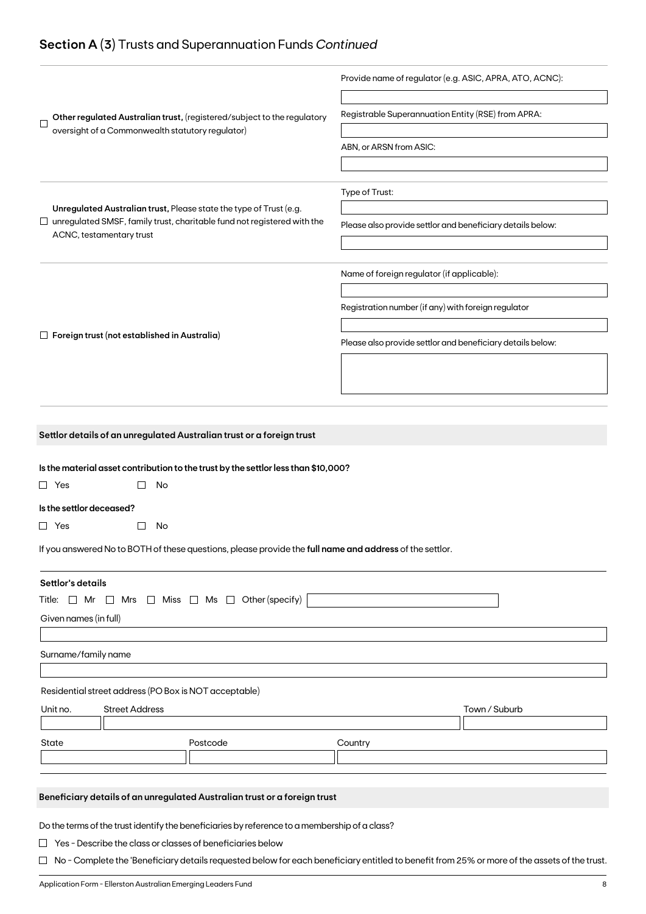## **Section A (3)** Trusts and Superannuation Funds *Continued*

|                                                                                                                                                             | Provide name of regulator (e.g. ASIC, APRA, ATO, ACNC):    |  |  |  |  |
|-------------------------------------------------------------------------------------------------------------------------------------------------------------|------------------------------------------------------------|--|--|--|--|
| Other regulated Australian trust, (registered/subject to the regulatory<br>$\Box$                                                                           | Registrable Superannuation Entity (RSE) from APRA:         |  |  |  |  |
| oversight of a Commonwealth statutory regulator)                                                                                                            |                                                            |  |  |  |  |
|                                                                                                                                                             | ABN, or ARSN from ASIC:                                    |  |  |  |  |
|                                                                                                                                                             |                                                            |  |  |  |  |
|                                                                                                                                                             | Type of Trust:                                             |  |  |  |  |
| Unregulated Australian trust, Please state the type of Trust (e.g.<br>$\Box$ unregulated SMSF, family trust, charitable fund not registered with the        | Please also provide settlor and beneficiary details below: |  |  |  |  |
| ACNC, testamentary trust                                                                                                                                    |                                                            |  |  |  |  |
|                                                                                                                                                             |                                                            |  |  |  |  |
|                                                                                                                                                             | Name of foreign regulator (if applicable):                 |  |  |  |  |
|                                                                                                                                                             | Registration number (if any) with foreign regulator        |  |  |  |  |
|                                                                                                                                                             |                                                            |  |  |  |  |
| $\Box$ Foreign trust (not established in Australia)                                                                                                         | Please also provide settlor and beneficiary details below: |  |  |  |  |
|                                                                                                                                                             |                                                            |  |  |  |  |
|                                                                                                                                                             |                                                            |  |  |  |  |
|                                                                                                                                                             |                                                            |  |  |  |  |
|                                                                                                                                                             |                                                            |  |  |  |  |
| Settlor details of an unregulated Australian trust or a foreign trust                                                                                       |                                                            |  |  |  |  |
|                                                                                                                                                             |                                                            |  |  |  |  |
| Is the material asset contribution to the trust by the settlor less than \$10,000?                                                                          |                                                            |  |  |  |  |
| No<br>$\Box$ Yes                                                                                                                                            |                                                            |  |  |  |  |
| Is the settlor deceased?                                                                                                                                    |                                                            |  |  |  |  |
| $\Box$ Yes<br>No<br>$\Box$                                                                                                                                  |                                                            |  |  |  |  |
| If you answered No to BOTH of these questions, please provide the full name and address of the settlor.                                                     |                                                            |  |  |  |  |
| Settlor's details                                                                                                                                           |                                                            |  |  |  |  |
| $\Box$ Miss $\Box$ Ms $\Box$ Other (specify)<br>Title: □ Mr<br>Mrs<br>$\Box$                                                                                |                                                            |  |  |  |  |
| Given names (in full)                                                                                                                                       |                                                            |  |  |  |  |
|                                                                                                                                                             |                                                            |  |  |  |  |
| Surname/family name                                                                                                                                         |                                                            |  |  |  |  |
|                                                                                                                                                             |                                                            |  |  |  |  |
| Residential street address (PO Box is NOT acceptable)                                                                                                       |                                                            |  |  |  |  |
| Unit no.<br><b>Street Address</b>                                                                                                                           | Town / Suburb                                              |  |  |  |  |
| State<br>Postcode                                                                                                                                           | Country                                                    |  |  |  |  |
|                                                                                                                                                             |                                                            |  |  |  |  |
|                                                                                                                                                             |                                                            |  |  |  |  |
| Beneficiary details of an unregulated Australian trust or a foreign trust                                                                                   |                                                            |  |  |  |  |
|                                                                                                                                                             |                                                            |  |  |  |  |
|                                                                                                                                                             |                                                            |  |  |  |  |
| Do the terms of the trust identify the beneficiaries by reference to a membership of a class?<br>Yes - Describe the class or classes of beneficiaries below |                                                            |  |  |  |  |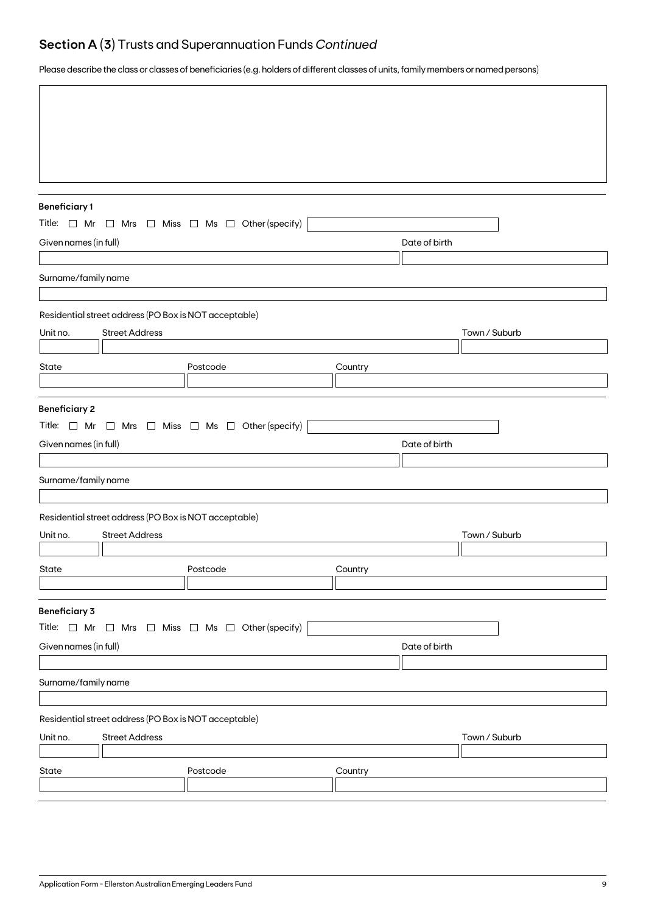## **Section A (3)** Trusts and Superannuation Funds *Continued*

Please describe the class or classes of beneficiaries (e.g. holders of different classes of units, family members or named persons)

| <b>Beneficiary1</b>   |                                                       |                                                                          |         |               |               |
|-----------------------|-------------------------------------------------------|--------------------------------------------------------------------------|---------|---------------|---------------|
|                       |                                                       | Title: $\Box$ Mr $\Box$ Mrs $\Box$ Miss $\Box$ Ms $\Box$ Other (specify) |         |               |               |
| Given names (in full) |                                                       |                                                                          |         | Date of birth |               |
|                       |                                                       |                                                                          |         |               |               |
| Surname/family name   |                                                       |                                                                          |         |               |               |
|                       | Residential street address (PO Box is NOT acceptable) |                                                                          |         |               |               |
| Unit no.              | <b>Street Address</b>                                 |                                                                          |         |               | Town / Suburb |
|                       |                                                       |                                                                          |         |               |               |
| State                 |                                                       | Postcode                                                                 | Country |               |               |
|                       |                                                       |                                                                          |         |               |               |
| <b>Beneficiary 2</b>  |                                                       |                                                                          |         |               |               |
|                       |                                                       | Title: $\Box$ Mr $\Box$ Mrs $\Box$ Miss $\Box$ Ms $\Box$ Other (specify) |         |               |               |
| Given names (in full) |                                                       |                                                                          |         | Date of birth |               |
|                       |                                                       |                                                                          |         |               |               |
| Surname/family name   |                                                       |                                                                          |         |               |               |
|                       |                                                       |                                                                          |         |               |               |
|                       | Residential street address (PO Box is NOT acceptable) |                                                                          |         |               |               |
| Unit no.              | <b>Street Address</b>                                 |                                                                          |         |               | Town / Suburb |
| State                 |                                                       | Postcode                                                                 | Country |               |               |
|                       |                                                       |                                                                          |         |               |               |
|                       |                                                       |                                                                          |         |               |               |
| <b>Beneficiary 3</b>  |                                                       | Title: $\Box$ Mr $\Box$ Mrs $\Box$ Miss $\Box$ Ms $\Box$ Other (specify) |         |               |               |
| Given names (in full) |                                                       |                                                                          |         | Date of birth |               |
|                       |                                                       |                                                                          |         |               |               |
| Surname/family name   |                                                       |                                                                          |         |               |               |
|                       |                                                       |                                                                          |         |               |               |
|                       | Residential street address (PO Box is NOT acceptable) |                                                                          |         |               |               |
| Unit no.              | <b>Street Address</b>                                 |                                                                          |         |               | Town / Suburb |
|                       |                                                       |                                                                          |         |               |               |
| State                 |                                                       | Postcode                                                                 | Country |               |               |
|                       |                                                       |                                                                          |         |               |               |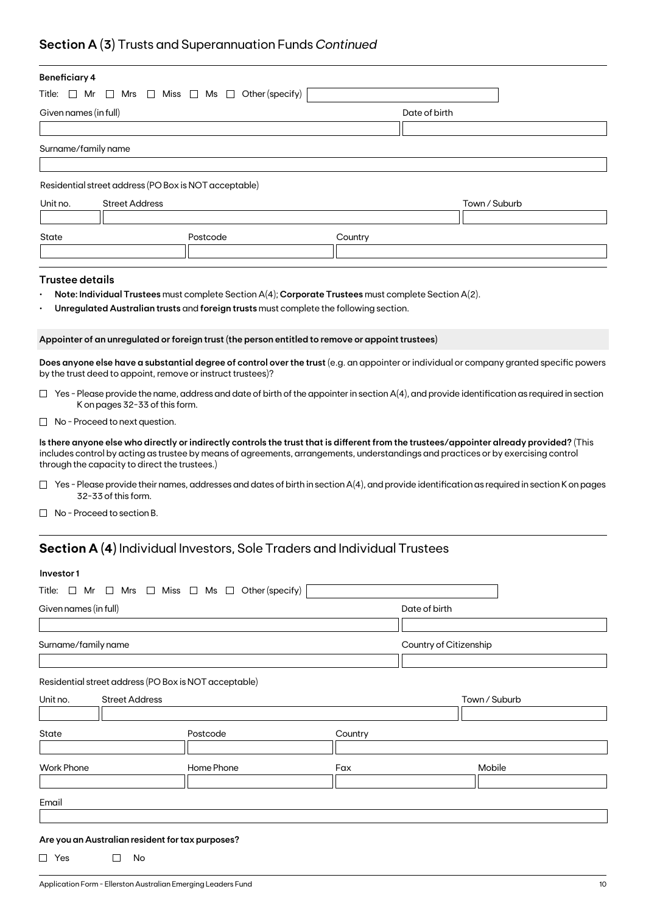## **Section A (3)** Trusts and Superannuation Funds *Continued*

| <b>Beneficiary 4</b>                                                        |                                                             |                                                                                                      |               |                                                                                                                                                                                                                                                                               |  |  |  |
|-----------------------------------------------------------------------------|-------------------------------------------------------------|------------------------------------------------------------------------------------------------------|---------------|-------------------------------------------------------------------------------------------------------------------------------------------------------------------------------------------------------------------------------------------------------------------------------|--|--|--|
| Title: $\Box$ Mr<br>$\Box$ Mrs $\Box$ Miss $\Box$ Ms $\Box$ Other (specify) |                                                             |                                                                                                      |               |                                                                                                                                                                                                                                                                               |  |  |  |
| Given names (in full)                                                       |                                                             |                                                                                                      | Date of birth |                                                                                                                                                                                                                                                                               |  |  |  |
|                                                                             |                                                             |                                                                                                      |               |                                                                                                                                                                                                                                                                               |  |  |  |
| Surname/family name                                                         |                                                             |                                                                                                      |               |                                                                                                                                                                                                                                                                               |  |  |  |
|                                                                             |                                                             |                                                                                                      |               |                                                                                                                                                                                                                                                                               |  |  |  |
|                                                                             | Residential street address (PO Box is NOT acceptable)       |                                                                                                      |               |                                                                                                                                                                                                                                                                               |  |  |  |
| Unit no.                                                                    | <b>Street Address</b>                                       |                                                                                                      |               | Town / Suburb                                                                                                                                                                                                                                                                 |  |  |  |
|                                                                             |                                                             |                                                                                                      |               |                                                                                                                                                                                                                                                                               |  |  |  |
| State                                                                       |                                                             | Postcode                                                                                             | Country       |                                                                                                                                                                                                                                                                               |  |  |  |
|                                                                             |                                                             |                                                                                                      |               |                                                                                                                                                                                                                                                                               |  |  |  |
|                                                                             |                                                             |                                                                                                      |               |                                                                                                                                                                                                                                                                               |  |  |  |
| <b>Trustee details</b>                                                      |                                                             |                                                                                                      |               |                                                                                                                                                                                                                                                                               |  |  |  |
|                                                                             |                                                             | Note: Individual Trustees must complete Section A(4); Corporate Trustees must complete Section A(2). |               |                                                                                                                                                                                                                                                                               |  |  |  |
|                                                                             |                                                             | Unregulated Australian trusts and foreign trusts must complete the following section.                |               |                                                                                                                                                                                                                                                                               |  |  |  |
|                                                                             |                                                             | Appointer of an unregulated or foreign trust (the person entitled to remove or appoint trustees)     |               |                                                                                                                                                                                                                                                                               |  |  |  |
|                                                                             | by the trust deed to appoint, remove or instruct trustees)? |                                                                                                      |               | Does anyone else have a substantial degree of control over the trust (e.g. an appointer or individual or company granted specific powers                                                                                                                                      |  |  |  |
|                                                                             | K on pages 32-33 of this form.                              |                                                                                                      |               | $\Box$ Yes - Please provide the name, address and date of birth of the appointer in section A(4), and provide identification as required in section                                                                                                                           |  |  |  |
|                                                                             | $\Box$ No - Proceed to next question.                       |                                                                                                      |               |                                                                                                                                                                                                                                                                               |  |  |  |
|                                                                             | through the capacity to direct the trustees.)               |                                                                                                      |               | Is there anyone else who directly or indirectly controls the trust that is different from the trustees/appointer already provided? (This<br>includes control by acting as trustee by means of agreements, arrangements, understandings and practices or by exercising control |  |  |  |
|                                                                             | 32-33 of this form.                                         |                                                                                                      |               | $\Box$ Yes - Please provide their names, addresses and dates of birth in section A(4), and provide identification as required in section K on pages                                                                                                                           |  |  |  |
|                                                                             | No - Proceed to section B.                                  |                                                                                                      |               |                                                                                                                                                                                                                                                                               |  |  |  |
|                                                                             |                                                             | <b>Section A (4)</b> Individual Investors, Sole Traders and Individual Trustees                      |               |                                                                                                                                                                                                                                                                               |  |  |  |
|                                                                             |                                                             |                                                                                                      |               |                                                                                                                                                                                                                                                                               |  |  |  |
| Investor1                                                                   |                                                             |                                                                                                      |               |                                                                                                                                                                                                                                                                               |  |  |  |
|                                                                             |                                                             | Title: $\Box$ Mr $\Box$ Mrs $\Box$ Miss $\Box$ Ms $\Box$ Other (specify)                             |               |                                                                                                                                                                                                                                                                               |  |  |  |
| Given names (in full)                                                       |                                                             |                                                                                                      |               | Date of birth                                                                                                                                                                                                                                                                 |  |  |  |
|                                                                             |                                                             |                                                                                                      |               |                                                                                                                                                                                                                                                                               |  |  |  |
| Surname/family name                                                         |                                                             |                                                                                                      |               | Country of Citizenship                                                                                                                                                                                                                                                        |  |  |  |
|                                                                             |                                                             |                                                                                                      |               |                                                                                                                                                                                                                                                                               |  |  |  |

Residential street address (PO Box is NOT acceptable)

| Unit no.          | <b>Street Address</b> |            |         | Town / Suburb |  |
|-------------------|-----------------------|------------|---------|---------------|--|
|                   |                       |            |         |               |  |
| State             |                       | Postcode   | Country |               |  |
|                   |                       |            |         |               |  |
| <b>Work Phone</b> |                       | Home Phone | Fax     | Mobile        |  |
|                   |                       |            |         |               |  |
|                   |                       |            |         |               |  |
| Email             |                       |            |         |               |  |

### **Are you an Australian resident for tax purposes?**

 $\Box$  Yes  $\Box$  No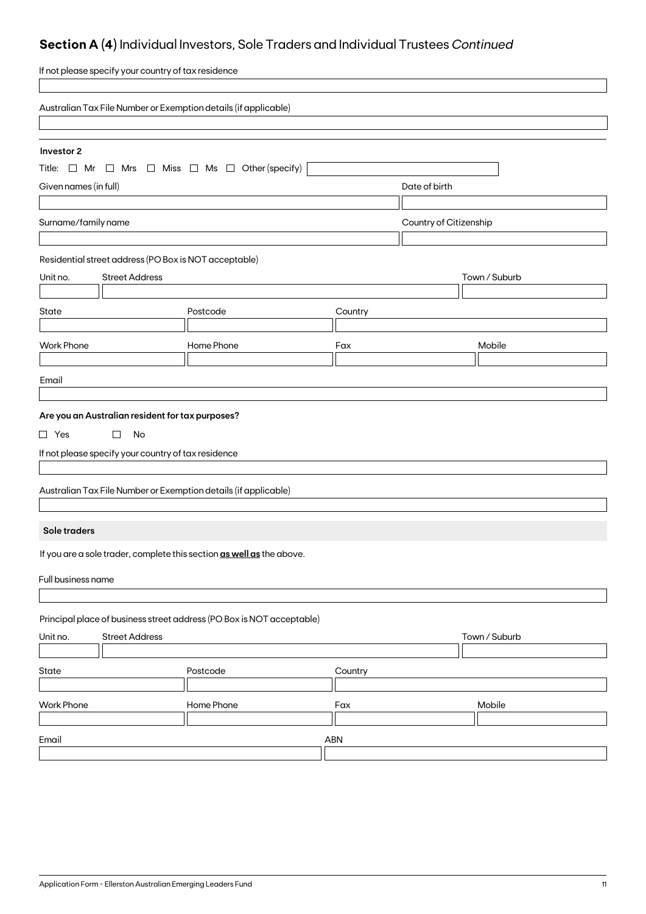## **Section A (4)** Individual Investors, Sole Traders and Individual Trustees *Continued*

| If not please specify your country of tax residence                                                                         |                                                                 |         |               |               |  |  |
|-----------------------------------------------------------------------------------------------------------------------------|-----------------------------------------------------------------|---------|---------------|---------------|--|--|
|                                                                                                                             | Australian Tax File Number or Exemption details (if applicable) |         |               |               |  |  |
| Investor 2<br>Title: $\Box$ Mr $\Box$ Mrs $\Box$ Miss $\Box$ Ms $\Box$ Other (specify)                                      |                                                                 |         |               |               |  |  |
| Given names (in full)                                                                                                       |                                                                 |         | Date of birth |               |  |  |
| Surname/family name                                                                                                         | Country of Citizenship                                          |         |               |               |  |  |
| Residential street address (PO Box is NOT acceptable)<br><b>Street Address</b><br>Unit no.                                  |                                                                 |         |               | Town / Suburb |  |  |
| <b>State</b>                                                                                                                | Postcode                                                        | Country |               |               |  |  |
| <b>Work Phone</b>                                                                                                           | Home Phone                                                      | Fax     |               | Mobile        |  |  |
| Email                                                                                                                       |                                                                 |         |               |               |  |  |
| Are you an Australian resident for tax purposes?<br>$\Box$ Yes<br>$\Box$<br>No                                              |                                                                 |         |               |               |  |  |
| If not please specify your country of tax residence<br>Australian Tax File Number or Exemption details (if applicable)      |                                                                 |         |               |               |  |  |
| Sole traders                                                                                                                |                                                                 |         |               |               |  |  |
| If you are a sole trader, complete this section as well as the above.<br>Full business name                                 |                                                                 |         |               |               |  |  |
| Principal place of business street address (PO Box is NOT acceptable)<br><b>Street Address</b><br>Town / Suburb<br>Unit no. |                                                                 |         |               |               |  |  |
| State                                                                                                                       | Postcode                                                        | Country |               |               |  |  |
| <b>Work Phone</b>                                                                                                           | Home Phone                                                      | Fax     |               | Mobile        |  |  |
| Email                                                                                                                       | ABN                                                             |         |               |               |  |  |
|                                                                                                                             |                                                                 |         |               |               |  |  |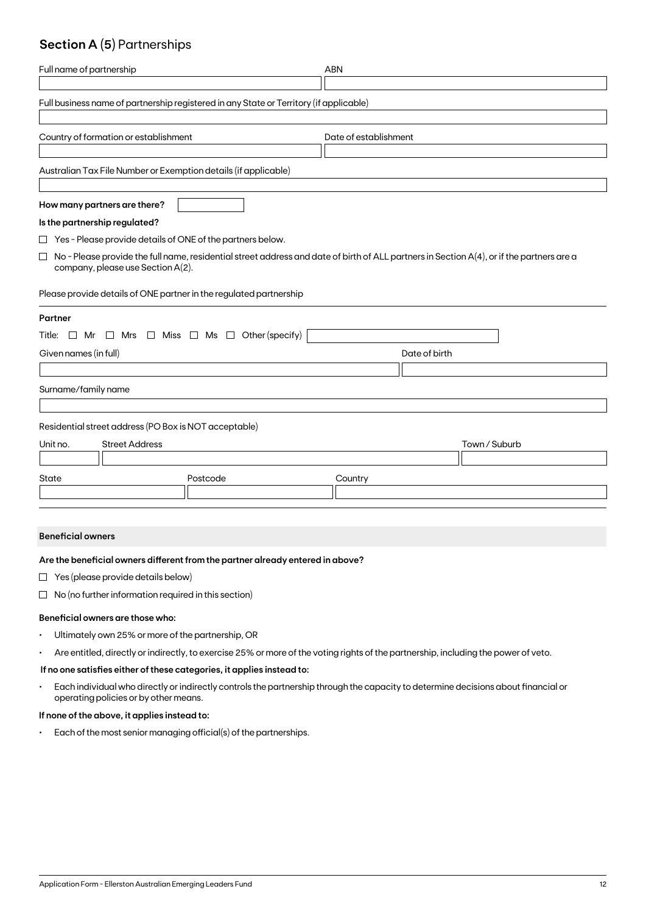## **Section A (5)** Partnerships

| Full name of partnership                                                                                                                                                                 | <b>ABN</b>            |
|------------------------------------------------------------------------------------------------------------------------------------------------------------------------------------------|-----------------------|
| Full business name of partnership registered in any State or Territory (if applicable)                                                                                                   |                       |
| Country of formation or establishment                                                                                                                                                    | Date of establishment |
| Australian Tax File Number or Exemption details (if applicable)                                                                                                                          |                       |
| How many partners are there?                                                                                                                                                             |                       |
| Is the partnership regulated?                                                                                                                                                            |                       |
| $\Box$ Yes - Please provide details of ONE of the partners below.                                                                                                                        |                       |
| $\Box$<br>No - Please provide the full name, residential street address and date of birth of ALL partners in Section A(4), or if the partners are a<br>company, please use Section A(2). |                       |
| Please provide details of ONE partner in the regulated partnership                                                                                                                       |                       |
| Partner                                                                                                                                                                                  |                       |
| $\Box$ Mrs $\Box$ Miss $\Box$ Ms $\Box$ Other (specify)<br>Title: □ Mr                                                                                                                   |                       |
| Given names (in full)                                                                                                                                                                    | Date of birth         |
|                                                                                                                                                                                          |                       |
| Surname/family name                                                                                                                                                                      |                       |
| Residential street address (PO Box is NOT acceptable)                                                                                                                                    |                       |
| <b>Street Address</b><br>Unit no.                                                                                                                                                        | Town / Suburb         |
|                                                                                                                                                                                          |                       |
| Postcode<br>State                                                                                                                                                                        | Country               |
|                                                                                                                                                                                          |                       |

### **Beneficial owners**

### **Are the beneficial owners different from the partner already entered in above?**

- $\Box$  Yes (please provide details below)
- $\Box$  No (no further information required in this section)

### **Beneficial owners are those who:**

- Ultimately own 25% or more of the partnership, OR
- Are entitled, directly or indirectly, to exercise 25% or more of the voting rights of the partnership, including the power of veto.

### **If no one satisfies either of these categories, it applies instead to:**

• Each individual who directly or indirectly controls the partnership through the capacity to determine decisions about financial or operating policies or by other means.

### **If none of the above, it applies instead to:**

• Each of the most senior managing official(s) of the partnerships.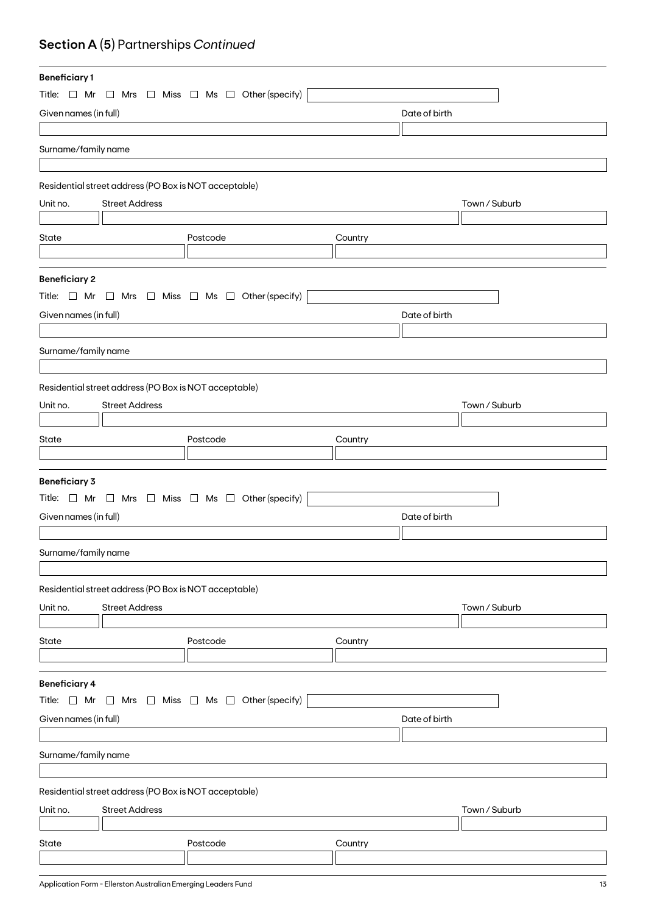## **Section A (5)** Partnerships *Continued*

| <b>Beneficiary1</b>   |                                                       |                                                                          |         |               |  |  |
|-----------------------|-------------------------------------------------------|--------------------------------------------------------------------------|---------|---------------|--|--|
|                       |                                                       | Title: $\Box$ Mr $\Box$ Mrs $\Box$ Miss $\Box$ Ms $\Box$ Other (specify) |         |               |  |  |
| Given names (in full) |                                                       |                                                                          |         | Date of birth |  |  |
|                       |                                                       |                                                                          |         |               |  |  |
| Surname/family name   |                                                       |                                                                          |         |               |  |  |
|                       |                                                       |                                                                          |         |               |  |  |
|                       |                                                       |                                                                          |         |               |  |  |
|                       | Residential street address (PO Box is NOT acceptable) |                                                                          |         |               |  |  |
| Unit no.              | <b>Street Address</b>                                 |                                                                          |         | Town / Suburb |  |  |
|                       |                                                       |                                                                          |         |               |  |  |
| State                 |                                                       | Postcode                                                                 | Country |               |  |  |
|                       |                                                       |                                                                          |         |               |  |  |
| <b>Beneficiary 2</b>  |                                                       |                                                                          |         |               |  |  |
|                       |                                                       | Title: $\Box$ Mr $\Box$ Mrs $\Box$ Miss $\Box$ Ms $\Box$ Other (specify) |         |               |  |  |
| Given names (in full) |                                                       |                                                                          |         | Date of birth |  |  |
|                       |                                                       |                                                                          |         |               |  |  |
|                       |                                                       |                                                                          |         |               |  |  |
| Surname/family name   |                                                       |                                                                          |         |               |  |  |
|                       |                                                       |                                                                          |         |               |  |  |
|                       | Residential street address (PO Box is NOT acceptable) |                                                                          |         |               |  |  |
| Unit no.              | <b>Street Address</b>                                 |                                                                          |         | Town / Suburb |  |  |
|                       |                                                       |                                                                          |         |               |  |  |
| State                 |                                                       | Postcode                                                                 | Country |               |  |  |
|                       |                                                       |                                                                          |         |               |  |  |
| <b>Beneficiary 3</b>  |                                                       |                                                                          |         |               |  |  |
|                       |                                                       | Title: $\Box$ Mr $\Box$ Mrs $\Box$ Miss $\Box$ Ms $\Box$ Other (specify) |         |               |  |  |
|                       |                                                       |                                                                          |         |               |  |  |
| Given names (in full) |                                                       |                                                                          |         | Date of birth |  |  |
|                       |                                                       |                                                                          |         |               |  |  |
| Surname/family name   |                                                       |                                                                          |         |               |  |  |
|                       |                                                       |                                                                          |         |               |  |  |
|                       | Residential street address (PO Box is NOT acceptable) |                                                                          |         |               |  |  |
| Unit no.              | <b>Street Address</b>                                 |                                                                          |         | Town / Suburb |  |  |
|                       |                                                       |                                                                          |         |               |  |  |
| State                 |                                                       | Postcode                                                                 | Country |               |  |  |
|                       |                                                       |                                                                          |         |               |  |  |
|                       |                                                       |                                                                          |         |               |  |  |
| <b>Beneficiary 4</b>  |                                                       |                                                                          |         |               |  |  |
| Title: $\Box$ Mr      |                                                       | $\Box$ Mrs $\Box$ Miss $\Box$ Ms $\Box$ Other (specify)                  |         |               |  |  |
|                       | Given names (in full)<br>Date of birth                |                                                                          |         |               |  |  |
|                       |                                                       |                                                                          |         |               |  |  |
| Surname/family name   |                                                       |                                                                          |         |               |  |  |
|                       |                                                       |                                                                          |         |               |  |  |
|                       | Residential street address (PO Box is NOT acceptable) |                                                                          |         |               |  |  |
| Unit no.              | <b>Street Address</b>                                 |                                                                          |         | Town / Suburb |  |  |
|                       |                                                       |                                                                          |         |               |  |  |
|                       |                                                       |                                                                          |         |               |  |  |
| State                 |                                                       | Postcode                                                                 | Country |               |  |  |
|                       |                                                       |                                                                          |         |               |  |  |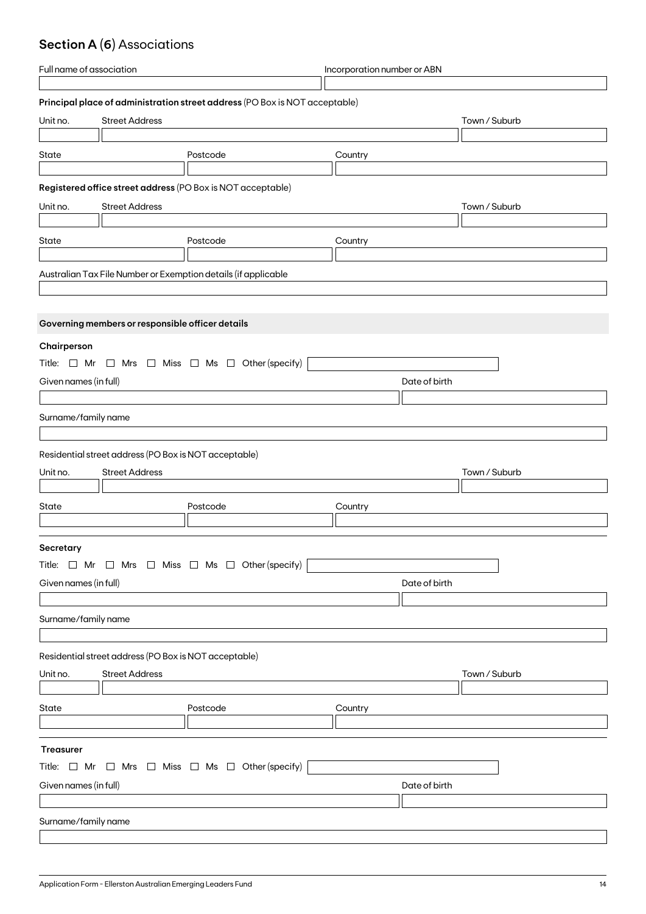## **Section A (6)** Associations

| Full name of association                                    |                                                       | Incorporation number or ABN                                                 |               |               |  |  |
|-------------------------------------------------------------|-------------------------------------------------------|-----------------------------------------------------------------------------|---------------|---------------|--|--|
|                                                             |                                                       |                                                                             |               |               |  |  |
|                                                             |                                                       | Principal place of administration street address (PO Box is NOT acceptable) |               |               |  |  |
| Unit no.                                                    | <b>Street Address</b>                                 |                                                                             |               | Town / Suburb |  |  |
|                                                             |                                                       |                                                                             |               |               |  |  |
| State                                                       |                                                       | Postcode                                                                    | Country       |               |  |  |
|                                                             |                                                       |                                                                             |               |               |  |  |
| Registered office street address (PO Box is NOT acceptable) |                                                       |                                                                             |               |               |  |  |
|                                                             |                                                       |                                                                             |               |               |  |  |
| Unit no.                                                    | <b>Street Address</b>                                 |                                                                             |               | Town / Suburb |  |  |
|                                                             |                                                       |                                                                             |               |               |  |  |
| State                                                       |                                                       | Postcode                                                                    | Country       |               |  |  |
|                                                             |                                                       |                                                                             |               |               |  |  |
|                                                             |                                                       | Australian Tax File Number or Exemption details (if applicable              |               |               |  |  |
|                                                             |                                                       |                                                                             |               |               |  |  |
|                                                             |                                                       |                                                                             |               |               |  |  |
|                                                             | Governing members or responsible officer details      |                                                                             |               |               |  |  |
| Chairperson                                                 |                                                       |                                                                             |               |               |  |  |
|                                                             |                                                       | Title: $\Box$ Mr $\Box$ Mrs $\Box$ Miss $\Box$ Ms $\Box$ Other (specify)    |               |               |  |  |
|                                                             |                                                       |                                                                             |               |               |  |  |
| Given names (in full)                                       |                                                       |                                                                             | Date of birth |               |  |  |
|                                                             |                                                       |                                                                             |               |               |  |  |
| Surname/family name                                         |                                                       |                                                                             |               |               |  |  |
|                                                             |                                                       |                                                                             |               |               |  |  |
|                                                             | Residential street address (PO Box is NOT acceptable) |                                                                             |               |               |  |  |
| Unit no.                                                    | <b>Street Address</b>                                 |                                                                             |               | Town / Suburb |  |  |
|                                                             |                                                       |                                                                             |               |               |  |  |
| State                                                       |                                                       | Postcode                                                                    | Country       |               |  |  |
|                                                             |                                                       |                                                                             |               |               |  |  |
|                                                             |                                                       |                                                                             |               |               |  |  |
| Secretary                                                   |                                                       |                                                                             |               |               |  |  |
|                                                             |                                                       | Title: $\Box$ Mr $\Box$ Mrs $\Box$ Miss $\Box$ Ms $\Box$ Other (specify)    |               |               |  |  |
| Given names (in full)                                       |                                                       |                                                                             | Date of birth |               |  |  |
|                                                             |                                                       |                                                                             |               |               |  |  |
| Surname/family name                                         |                                                       |                                                                             |               |               |  |  |
|                                                             |                                                       |                                                                             |               |               |  |  |
|                                                             |                                                       |                                                                             |               |               |  |  |
|                                                             | Residential street address (PO Box is NOT acceptable) |                                                                             |               |               |  |  |
| Unit no.                                                    | <b>Street Address</b>                                 |                                                                             |               | Town / Suburb |  |  |
|                                                             |                                                       |                                                                             |               |               |  |  |
| State                                                       |                                                       | Postcode                                                                    | Country       |               |  |  |
|                                                             |                                                       |                                                                             |               |               |  |  |
|                                                             |                                                       |                                                                             |               |               |  |  |
| <b>Treasurer</b>                                            |                                                       |                                                                             |               |               |  |  |
|                                                             |                                                       | Title: $\Box$ Mr $\Box$ Mrs $\Box$ Miss $\Box$ Ms $\Box$ Other (specify)    |               |               |  |  |
| Given names (in full)                                       |                                                       |                                                                             | Date of birth |               |  |  |
|                                                             |                                                       |                                                                             |               |               |  |  |
| Surname/family name                                         |                                                       |                                                                             |               |               |  |  |
|                                                             |                                                       |                                                                             |               |               |  |  |
|                                                             |                                                       |                                                                             |               |               |  |  |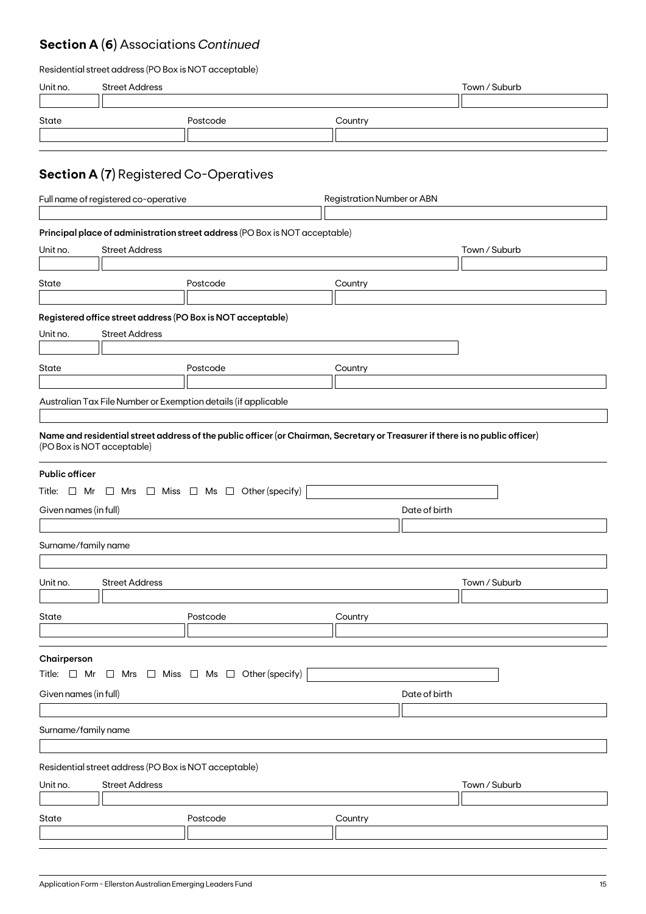## **Section A (6)** Associations *Continued*

| Residential street address (PO Box is NOT acceptable) |  |  |
|-------------------------------------------------------|--|--|
|-------------------------------------------------------|--|--|

| Unit no.                                                                                                                          | <b>Street Address</b>                                                          |                                                                                                                                                                                                 |                                   | Town / Suburb |  |
|-----------------------------------------------------------------------------------------------------------------------------------|--------------------------------------------------------------------------------|-------------------------------------------------------------------------------------------------------------------------------------------------------------------------------------------------|-----------------------------------|---------------|--|
| State                                                                                                                             |                                                                                | Postcode                                                                                                                                                                                        | Country                           |               |  |
|                                                                                                                                   | <b>Section A (7)</b> Registered Co-Operatives                                  |                                                                                                                                                                                                 |                                   |               |  |
|                                                                                                                                   | Full name of registered co-operative                                           |                                                                                                                                                                                                 | <b>Registration Number or ABN</b> |               |  |
| Unit no.                                                                                                                          | <b>Street Address</b>                                                          | Principal place of administration street address (PO Box is NOT acceptable)                                                                                                                     |                                   | Town / Suburb |  |
| State                                                                                                                             |                                                                                | Postcode                                                                                                                                                                                        | Country                           |               |  |
| Unit no.                                                                                                                          | <b>Street Address</b>                                                          | Registered office street address (PO Box is NOT acceptable)                                                                                                                                     |                                   |               |  |
| State                                                                                                                             |                                                                                | Postcode                                                                                                                                                                                        | Country                           |               |  |
|                                                                                                                                   | (PO Box is NOT acceptable)                                                     | Australian Tax File Number or Exemption details (if applicable<br>Name and residential street address of the public officer (or Chairman, Secretary or Treasurer if there is no public officer) |                                   |               |  |
| <b>Public officer</b>                                                                                                             |                                                                                | Title: $\Box$ Mr $\Box$ Mrs $\Box$ Miss $\Box$ Ms $\Box$ Other (specify)                                                                                                                        |                                   |               |  |
| Given names (in full)                                                                                                             |                                                                                |                                                                                                                                                                                                 | Date of birth                     |               |  |
| Surname/family name                                                                                                               |                                                                                |                                                                                                                                                                                                 |                                   |               |  |
| Unit no.                                                                                                                          | <b>Street Address</b>                                                          |                                                                                                                                                                                                 |                                   | Town / Suburb |  |
| State                                                                                                                             |                                                                                | Postcode                                                                                                                                                                                        | Country                           |               |  |
| Chairperson<br>Title: $\Box$ Mr $\Box$ Mrs $\Box$ Miss $\Box$ Ms $\Box$ Other (specify)<br>Given names (in full)<br>Date of birth |                                                                                |                                                                                                                                                                                                 |                                   |               |  |
| Surname/family name                                                                                                               |                                                                                |                                                                                                                                                                                                 |                                   |               |  |
| Unit no.                                                                                                                          | Residential street address (PO Box is NOT acceptable)<br><b>Street Address</b> |                                                                                                                                                                                                 |                                   | Town / Suburb |  |
| State                                                                                                                             |                                                                                | Postcode                                                                                                                                                                                        | Country                           |               |  |
|                                                                                                                                   |                                                                                |                                                                                                                                                                                                 |                                   |               |  |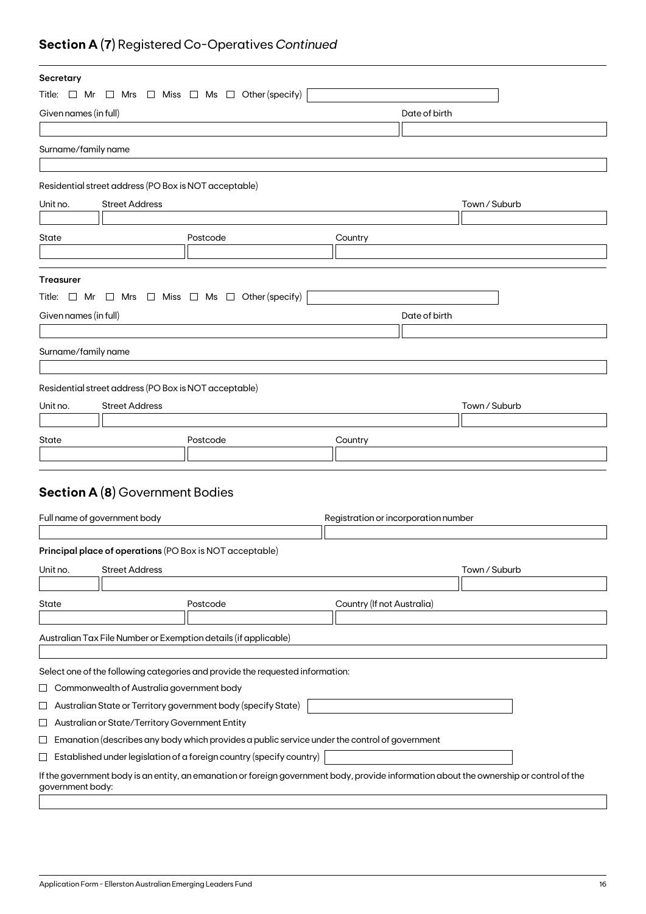## **Section A (7)** Registered Co-Operatives *Continued*

| Secretary             |                                                               |                                                                                                                                         |                                      |               |               |
|-----------------------|---------------------------------------------------------------|-----------------------------------------------------------------------------------------------------------------------------------------|--------------------------------------|---------------|---------------|
|                       |                                                               | Title: $\Box$ Mr $\Box$ Mrs $\Box$ Miss $\Box$ Ms $\Box$ Other (specify)                                                                |                                      |               |               |
| Given names (in full) |                                                               |                                                                                                                                         |                                      | Date of birth |               |
|                       |                                                               |                                                                                                                                         |                                      |               |               |
| Surname/family name   |                                                               |                                                                                                                                         |                                      |               |               |
|                       |                                                               |                                                                                                                                         |                                      |               |               |
|                       | Residential street address (PO Box is NOT acceptable)         |                                                                                                                                         |                                      |               |               |
| Unit no.              | <b>Street Address</b>                                         |                                                                                                                                         |                                      |               | Town / Suburb |
|                       |                                                               |                                                                                                                                         |                                      |               |               |
| State                 |                                                               | Postcode                                                                                                                                | Country                              |               |               |
|                       |                                                               |                                                                                                                                         |                                      |               |               |
|                       |                                                               |                                                                                                                                         |                                      |               |               |
| <b>Treasurer</b>      |                                                               |                                                                                                                                         |                                      |               |               |
| Title: □ Mr           |                                                               | $\Box$ Mrs $\Box$ Miss $\Box$ Ms $\Box$ Other (specify)                                                                                 |                                      |               |               |
| Given names (in full) |                                                               |                                                                                                                                         |                                      | Date of birth |               |
|                       |                                                               |                                                                                                                                         |                                      |               |               |
| Surname/family name   |                                                               |                                                                                                                                         |                                      |               |               |
|                       |                                                               |                                                                                                                                         |                                      |               |               |
|                       | Residential street address (PO Box is NOT acceptable)         |                                                                                                                                         |                                      |               |               |
| Unit no.              | <b>Street Address</b>                                         |                                                                                                                                         |                                      |               | Town / Suburb |
|                       |                                                               |                                                                                                                                         |                                      |               |               |
| State                 |                                                               | Postcode                                                                                                                                | Country                              |               |               |
|                       |                                                               |                                                                                                                                         |                                      |               |               |
|                       |                                                               |                                                                                                                                         |                                      |               |               |
|                       | <b>Section A (8)</b> Government Bodies                        |                                                                                                                                         |                                      |               |               |
|                       | Full name of government body                                  |                                                                                                                                         | Registration or incorporation number |               |               |
|                       |                                                               |                                                                                                                                         |                                      |               |               |
|                       |                                                               | Principal place of operations (PO Box is NOT acceptable)                                                                                |                                      |               |               |
|                       | <b>Street Address</b>                                         |                                                                                                                                         |                                      |               | Town / Suburb |
| Unit no.              |                                                               |                                                                                                                                         |                                      |               |               |
| State                 |                                                               | Postcode                                                                                                                                | Country (If not Australia)           |               |               |
|                       |                                                               |                                                                                                                                         |                                      |               |               |
|                       |                                                               | Australian Tax File Number or Exemption details (if applicable)                                                                         |                                      |               |               |
|                       |                                                               |                                                                                                                                         |                                      |               |               |
|                       |                                                               | Select one of the following categories and provide the requested information:                                                           |                                      |               |               |
| ⊔                     | Commonwealth of Australia government body                     |                                                                                                                                         |                                      |               |               |
| ⊔                     | Australian State or Territory government body (specify State) |                                                                                                                                         |                                      |               |               |
| ப                     | Australian or State/Territory Government Entity               |                                                                                                                                         |                                      |               |               |
| ப                     |                                                               | Emanation (describes any body which provides a public service under the control of government                                           |                                      |               |               |
| ⊔                     |                                                               | Established under legislation of a foreign country (specify country)                                                                    |                                      |               |               |
|                       |                                                               | If the government body is an entity, an emanation or foreign government body, provide information about the ownership or control of the |                                      |               |               |
| government body:      |                                                               |                                                                                                                                         |                                      |               |               |
|                       |                                                               |                                                                                                                                         |                                      |               |               |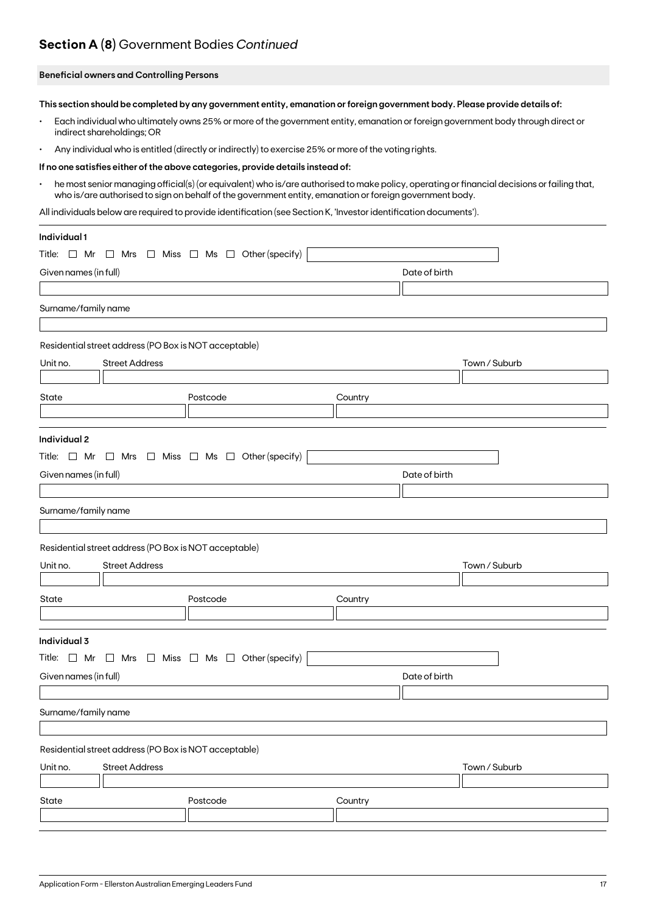## **Section A (8)** Government Bodies *Continued*

### **Beneficial owners and Controlling Persons**

**This section should be completed by any government entity, emanation or foreign government body. Please provide details of:**

- Each individual who ultimately owns 25% or more of the government entity, emanation or foreign government body through direct or indirect shareholdings; OR
- Any individual who is entitled (directly or indirectly) to exercise 25% or more of the voting rights.

#### **If no one satisfies either of the above categories, provide details instead of:**

• he most senior managing official(s) (or equivalent) who is/are authorised to make policy, operating or financial decisions or failing that, who is/are authorised to sign on behalf of the government entity, emanation or foreign government body.

All individuals below are required to provide identification (see Section K, 'Investor identification documents').

| Individual 1                                                             |          |               |               |
|--------------------------------------------------------------------------|----------|---------------|---------------|
| Title: $\Box$ Mr $\Box$ Mrs $\Box$ Miss $\Box$ Ms $\Box$ Other (specify) |          |               |               |
| Given names (in full)                                                    |          | Date of birth |               |
|                                                                          |          |               |               |
| Surname/family name                                                      |          |               |               |
|                                                                          |          |               |               |
| Residential street address (PO Box is NOT acceptable)                    |          |               |               |
| <b>Street Address</b><br>Unit no.                                        |          |               | Town / Suburb |
|                                                                          |          |               |               |
| State                                                                    | Postcode | Country       |               |
|                                                                          |          |               |               |
| Individual 2                                                             |          |               |               |
| Title: $\Box$ Mr $\Box$ Mrs $\Box$ Miss $\Box$ Ms $\Box$ Other (specify) |          |               |               |
| Given names (in full)                                                    |          | Date of birth |               |
|                                                                          |          |               |               |
| Surname/family name                                                      |          |               |               |
|                                                                          |          |               |               |
| Residential street address (PO Box is NOT acceptable)                    |          |               |               |
| Unit no.<br><b>Street Address</b>                                        |          |               | Town / Suburb |
|                                                                          |          |               |               |
| State                                                                    | Postcode | Country       |               |
|                                                                          |          |               |               |
| Individual 3                                                             |          |               |               |
| Title: $\Box$ Mr $\Box$ Mrs $\Box$ Miss $\Box$ Ms $\Box$ Other (specify) |          |               |               |
| Given names (in full)                                                    |          | Date of birth |               |
|                                                                          |          |               |               |
| Surname/family name                                                      |          |               |               |
|                                                                          |          |               |               |
| Residential street address (PO Box is NOT acceptable)                    |          |               |               |
| Unit no.<br><b>Street Address</b>                                        |          |               | Town / Suburb |
|                                                                          |          |               |               |
| State                                                                    | Postcode | Country       |               |
|                                                                          |          |               |               |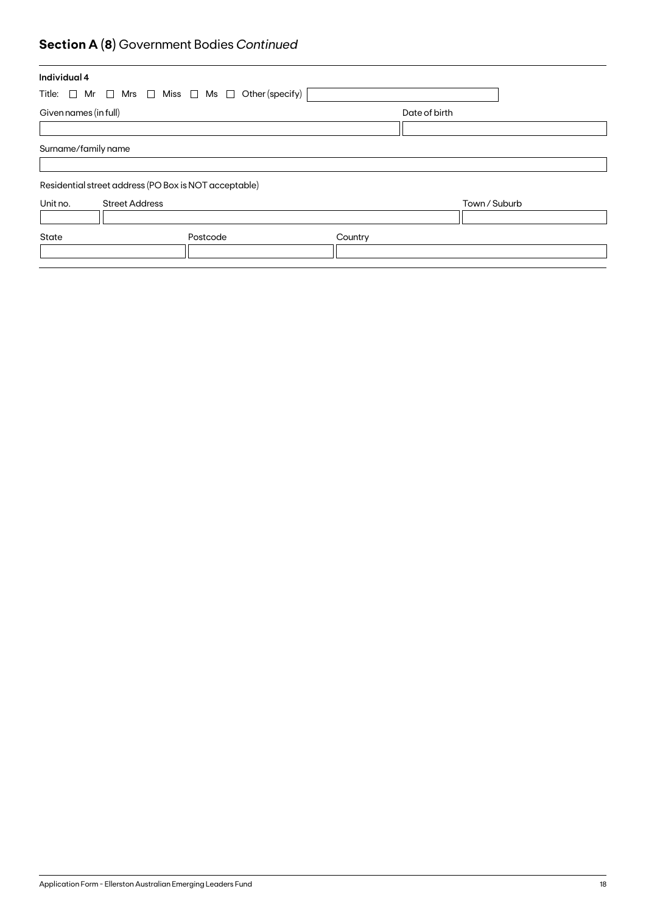## **Section A (8)** Government Bodies *Continued*

| Individual 4                                                             |          |         |               |  |
|--------------------------------------------------------------------------|----------|---------|---------------|--|
| Title: $\Box$ Mr $\Box$ Mrs $\Box$ Miss $\Box$ Ms $\Box$ Other (specify) |          |         |               |  |
| Given names (in full)                                                    |          |         | Date of birth |  |
|                                                                          |          |         |               |  |
| Surname/family name                                                      |          |         |               |  |
|                                                                          |          |         |               |  |
| Residential street address (PO Box is NOT acceptable)                    |          |         |               |  |
| Unit no.<br><b>Street Address</b>                                        |          |         | Town / Suburb |  |
|                                                                          |          |         |               |  |
| State                                                                    | Postcode | Country |               |  |
|                                                                          |          |         |               |  |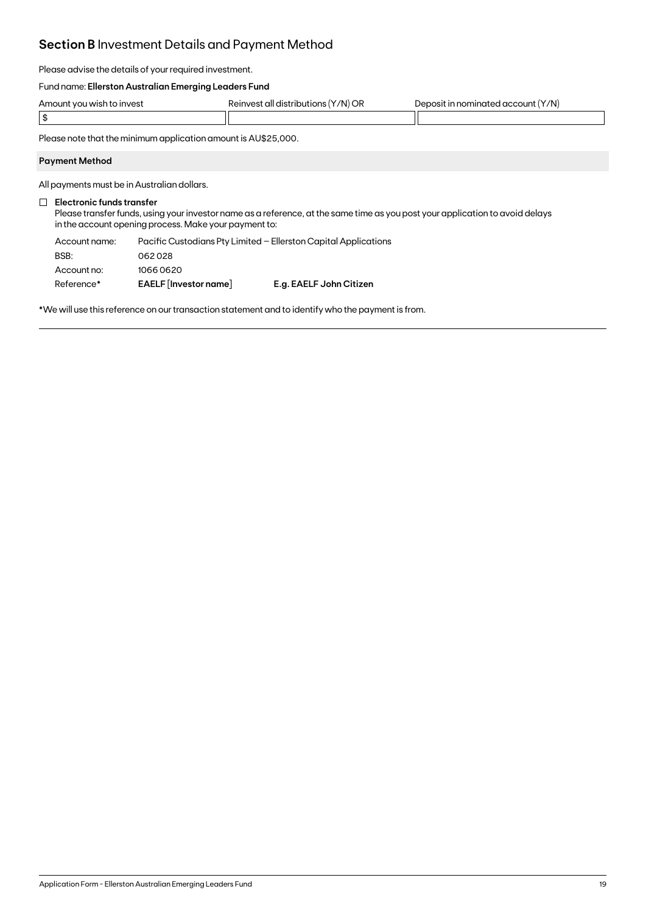## **Section B** Investment Details and Payment Method

Please advise the details of your required investment.

### Fund name: **Ellerston Australian Emerging Leaders Fund**

| Amount you wish to invest | $(Y/N)$ OR<br>Reinvest all distributions () | Deposit in nominated account (Y/N) |
|---------------------------|---------------------------------------------|------------------------------------|
|                           |                                             |                                    |

Please note that the minimum application amount is AU\$25,000.

### **Payment Method**

All payments must be in Australian dollars.

### **Electronic funds transfer**

Please transfer funds, using your investor name as a reference, at the same time as you post your application to avoid delays in the account opening process. Make your payment to:

| Account name:<br>BSB: |                       | Pacific Custodians Pty Limited - Ellerston Capital Applications |
|-----------------------|-----------------------|-----------------------------------------------------------------|
|                       | 062028                |                                                                 |
| Account no:           | 10660620              |                                                                 |
| Reference*            | EAELF [Investor name] | E.g. EAELF John Citizen                                         |

\*We will use this reference on our transaction statement and to identify who the payment is from.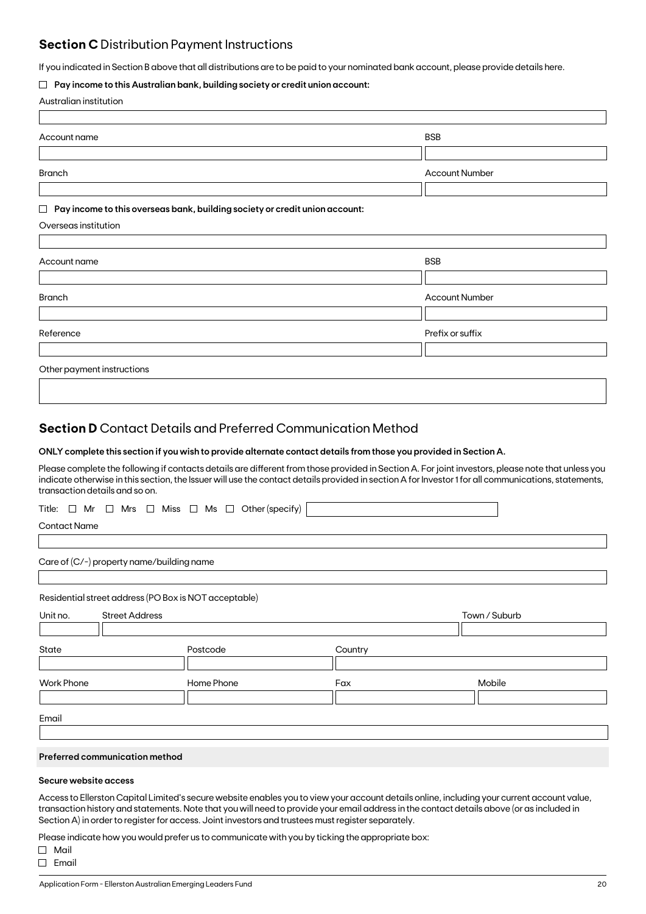### **Section C** Distribution Payment Instructions

If you indicated in Section B above that all distributions are to be paid to your nominated bank account, please provide details here.

### **Pay income to this Australian bank, building society or credit union account:**

|  | Australian institution |
|--|------------------------|
|--|------------------------|

| Account name                                                                          | <b>BSB</b>            |
|---------------------------------------------------------------------------------------|-----------------------|
|                                                                                       |                       |
| <b>Branch</b>                                                                         | <b>Account Number</b> |
|                                                                                       |                       |
| Pay income to this overseas bank, building society or credit union account:<br>$\Box$ |                       |
| Overseas institution                                                                  |                       |
|                                                                                       |                       |
| Account name                                                                          | <b>BSB</b>            |
|                                                                                       |                       |
| <b>Branch</b>                                                                         | <b>Account Number</b> |
|                                                                                       |                       |
| Reference                                                                             | Prefix or suffix      |
|                                                                                       |                       |
| Other payment instructions                                                            |                       |
|                                                                                       |                       |

### **Section D** Contact Details and Preferred Communication Method

### **ONLY complete this section if you wish to provide alternate contact details from those you provided in Section A.**

Please complete the following if contacts details are different from those provided in Section A. For joint investors, please note that unless you indicate otherwise in this section, the Issuer will use the contact details provided in section A for Investor 1 for all communications, statements, transaction details and so on.

|  |  |  |  |  |  |  |  |  |  | Title: $\Box$ Mr $\Box$ Mrs $\Box$ Miss $\Box$ Ms $\Box$ Other(specify) $\vert$ |  |
|--|--|--|--|--|--|--|--|--|--|---------------------------------------------------------------------------------|--|
|--|--|--|--|--|--|--|--|--|--|---------------------------------------------------------------------------------|--|

Contact Name

Care of (C/-) property name/building name

Residential street address (PO Box is NOT acceptable)

| Unit no.          | <b>Street Address</b> |            |         | Town / Suburb |
|-------------------|-----------------------|------------|---------|---------------|
|                   |                       |            |         |               |
| State             |                       | Postcode   | Country |               |
|                   |                       |            |         |               |
| <b>Work Phone</b> |                       | Home Phone | Fax     | Mobile        |
|                   |                       |            |         |               |
|                   |                       |            |         |               |
| Email             |                       |            |         |               |

### **Preferred communication method**

### **Secure website access**

Access to Ellerston Capital Limited's secure website enables you to view your account details online, including your current account value, transaction history and statements. Note that you will need to provide your email address in the contact details above (or as included in Section A) in order to register for access. Joint investors and trustees must register separately.

Please indicate how you would prefer us to communicate with you by ticking the appropriate box:

Mail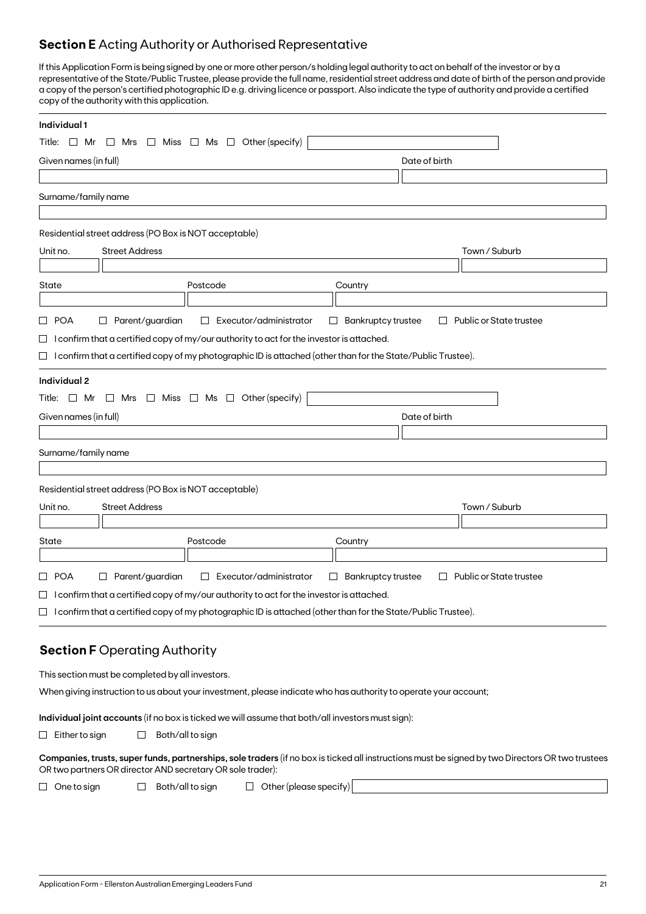## **Section E** Acting Authority or Authorised Representative

If this Application Form is being signed by one or more other person/s holding legal authority to act on behalf of the investor or by a representative of the State/Public Trustee, please provide the full name, residential street address and date of birth of the person and provide a copy of the person's certified photographic ID e.g. driving licence or passport. Also indicate the type of authority and provide a certified copy of the authority with this application.

| Individual 1                                                                                                                                                                                                   |                                                                |
|----------------------------------------------------------------------------------------------------------------------------------------------------------------------------------------------------------------|----------------------------------------------------------------|
| Other (specify)<br>Miss $\Box$ Ms $\Box$<br>Title: $\Box$ Mr<br>$\Box$ Mrs<br>$\Box$                                                                                                                           |                                                                |
| Given names (in full)                                                                                                                                                                                          | Date of birth                                                  |
|                                                                                                                                                                                                                |                                                                |
| Surname/family name                                                                                                                                                                                            |                                                                |
|                                                                                                                                                                                                                |                                                                |
| Residential street address (PO Box is NOT acceptable)                                                                                                                                                          |                                                                |
| <b>Street Address</b><br>Unit no.                                                                                                                                                                              | Town / Suburb                                                  |
|                                                                                                                                                                                                                |                                                                |
| State<br>Postcode                                                                                                                                                                                              | Country                                                        |
| Parent/guardian<br>□ POA<br>Executor/administrator<br>$\Box$<br>$\Box$                                                                                                                                         | <b>Bankruptcy trustee</b><br>Public or State trustee<br>$\Box$ |
| $\Box$ I confirm that a certified copy of my/our authority to act for the investor is attached.                                                                                                                |                                                                |
| $\Box$ I confirm that a certified copy of my photographic ID is attached (other than for the State/Public Trustee).                                                                                            |                                                                |
|                                                                                                                                                                                                                |                                                                |
| Individual 2                                                                                                                                                                                                   |                                                                |
| Title: $\Box$ Mr $\Box$ Mrs $\Box$ Miss $\Box$ Ms $\Box$ Other (specify)                                                                                                                                       |                                                                |
| Given names (in full)                                                                                                                                                                                          | Date of birth                                                  |
| Surname/family name                                                                                                                                                                                            |                                                                |
|                                                                                                                                                                                                                |                                                                |
| Residential street address (PO Box is NOT acceptable)                                                                                                                                                          |                                                                |
| <b>Street Address</b><br>Unit no.                                                                                                                                                                              | Town / Suburb                                                  |
|                                                                                                                                                                                                                |                                                                |
| Postcode<br>State                                                                                                                                                                                              | Country                                                        |
|                                                                                                                                                                                                                |                                                                |
| □ POA<br>$\Box$ Parent/guardian<br>Executor/administrator<br>$\Box$<br>$\Box$                                                                                                                                  | <b>Bankruptcy trustee</b><br>Public or State trustee<br>$\Box$ |
| $\Box$ I confirm that a certified copy of my/our authority to act for the investor is attached.                                                                                                                |                                                                |
| $\Box$ I confirm that a certified copy of my photographic ID is attached (other than for the State/Public Trustee).                                                                                            |                                                                |
|                                                                                                                                                                                                                |                                                                |
| <b>Section F Operating Authority</b>                                                                                                                                                                           |                                                                |
| This section must be completed by all investors.                                                                                                                                                               |                                                                |
| When giving instruction to us about your investment, please indicate who has authority to operate your account;                                                                                                |                                                                |
|                                                                                                                                                                                                                |                                                                |
| Individual joint accounts (if no box is ticked we will assume that both/all investors must sign):<br>Both/all to sign<br>$\Box$ Either to sign<br>$\Box$                                                       |                                                                |
|                                                                                                                                                                                                                |                                                                |
| Companies, trusts, super funds, partnerships, sole traders (if no box is ticked all instructions must be signed by two Directors OR two trustees<br>OR two partners OR director AND secretary OR sole trader): |                                                                |
| $\Box$ Other (please specify)<br>Both/all to sign<br>$\Box$ One to sign<br>$\Box$                                                                                                                              |                                                                |
|                                                                                                                                                                                                                |                                                                |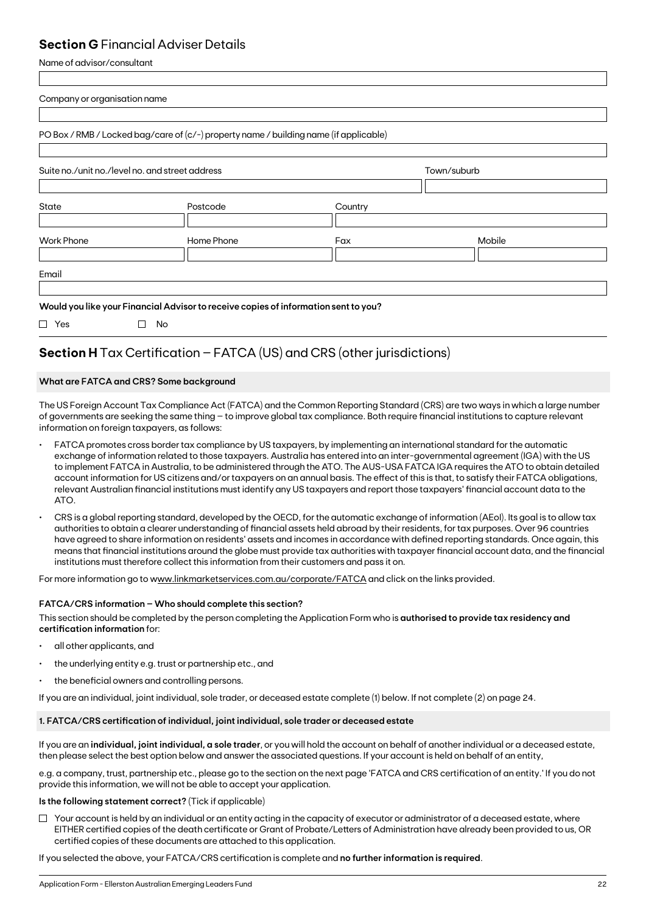### **Section G** Financial Adviser Details

Name of advisor/consultant

| Mobile |
|--------|
|        |
|        |

## **Section H** Tax Certification – FATCA (US) and CRS (other jurisdictions)

### **What are FATCA and CRS? Some background**

The US Foreign Account Tax Compliance Act (FATCA) and the Common Reporting Standard (CRS) are two ways in which a large number of governments are seeking the same thing – to improve global tax compliance. Both require financial institutions to capture relevant information on foreign taxpayers, as follows:

- FATCA promotes cross border tax compliance by US taxpayers, by implementing an international standard for the automatic exchange of information related to those taxpayers. Australia has entered into an inter-governmental agreement (IGA) with the US to implement FATCA in Australia, to be administered through the ATO. The AUS-USA FATCA IGA requires the ATO to obtain detailed account information for US citizens and/or taxpayers on an annual basis. The effect of this is that, to satisfy their FATCA obligations, relevant Australian financial institutions must identify any US taxpayers and report those taxpayers' financial account data to the ATO.
- CRS is a global reporting standard, developed by the OECD, for the automatic exchange of information (AEoI). Its goal is to allow tax authorities to obtain a clearer understanding of financial assets held abroad by their residents, for tax purposes. Over 96 countries have agreed to share information on residents' assets and incomes in accordance with defined reporting standards. Once again, this means that financial institutions around the globe must provide tax authorities with taxpayer financial account data, and the financial institutions must therefore collect this information from their customers and pass it on.

For more information go to www.linkmarketservices.com.au/corporate/FATCA and click on the links provided.

### **FATCA/CRS information – Who should complete this section?**

This section should be completed by the person completing the Application Form who is **authorised to provide tax residency and certification information** for:

- all other applicants, and
- the underlying entity e.g. trust or partnership etc., and
- the beneficial owners and controlling persons.

If you are an individual, joint individual, sole trader, or deceased estate complete (1) below. If not complete (2) on page 24.

### **1. FATCA/CRS certification of individual, joint individual, sole trader or deceased estate**

If you are an **individual, joint individual, a sole trader**, or you will hold the account on behalf of another individual or a deceased estate, then please select the best option below and answer the associated questions. If your account is held on behalf of an entity,

e.g. a company, trust, partnership etc., please go to the section on the next page 'FATCA and CRS certification of an entity.' If you do not provide this information, we will not be able to accept your application.

### **Is the following statement correct?** (Tick if applicable)

 $\Box$  Your account is held by an individual or an entity acting in the capacity of executor or administrator of a deceased estate, where EITHER certified copies of the death certificate or Grant of Probate/Letters of Administration have already been provided to us, OR certified copies of these documents are attached to this application.

If you selected the above, your FATCA/CRS certification is complete and **no further information is required**.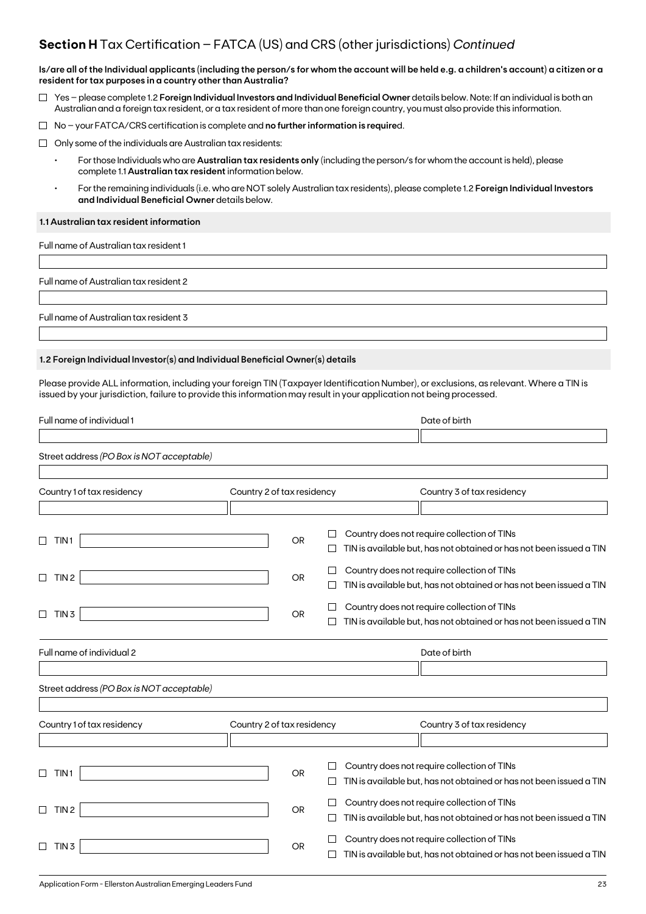### **Section H** Tax Certification – FATCA (US) and CRS (other jurisdictions) *Continued*

**Is/are all of the Individual applicants (including the person/s for whom the account will be held e.g. a children's account) a citizen or a resident for tax purposes in a country other than Australia?**

- Yes please complete 1.2 **Foreign Individual Investors and Individual Beneficial Owner** details below. Note: If an individual is both an Australian and a foreign tax resident, or a tax resident of more than one foreign country, you must also provide this information.
- No your FATCA/CRS certification is complete and **no further information is require**d.
- $\Box$  Only some of the individuals are Australian tax residents:
	- For those Individuals who are **Australian tax residents only** (including the person/s for whom the account is held), please complete 1.1 **Australian tax resident** information below.
	- For the remaining individuals (i.e. who are NOT solely Australian tax residents), please complete 1.2 **Foreign Individual Investors and Individual Beneficial Owner** details below.

### **1.1 Australian tax resident information**

Full name of Australian tax resident 1

Full name of Australian tax resident 2

Full name of Australian tax resident 3

### **1.2 Foreign Individual Investor(s) and Individual Beneficial Owner(s) details**

Please provide ALL information, including your foreign TIN (Taxpayer Identification Number), or exclusions, as relevant. Where a TIN is issued by your jurisdiction, failure to provide this information may result in your application not being processed.

| Full name of individual 1                 |                            |           |        | Date of birth                                                       |
|-------------------------------------------|----------------------------|-----------|--------|---------------------------------------------------------------------|
|                                           |                            |           |        |                                                                     |
| Street address (PO Box is NOT acceptable) |                            |           |        |                                                                     |
|                                           |                            |           |        |                                                                     |
| Country 1 of tax residency                | Country 2 of tax residency |           |        | Country 3 of tax residency                                          |
|                                           |                            |           |        |                                                                     |
|                                           |                            |           |        | Country does not require collection of TINs                         |
| TIN <sub>1</sub>                          |                            | <b>OR</b> |        | TIN is available but, has not obtained or has not been issued a TIN |
|                                           |                            |           |        | Country does not require collection of TINs                         |
| TIN <sub>2</sub><br>□                     |                            | <b>OR</b> |        | TIN is available but, has not obtained or has not been issued a TIN |
|                                           |                            |           |        | Country does not require collection of TINs                         |
| $\Box$<br>TIN <sub>3</sub>                |                            | OR        |        | TIN is available but, has not obtained or has not been issued a TIN |
| Full name of individual 2                 |                            |           |        | Date of birth                                                       |
|                                           |                            |           |        |                                                                     |
| Street address (PO Box is NOT acceptable) |                            |           |        |                                                                     |
|                                           |                            |           |        |                                                                     |
| Country 1 of tax residency                | Country 2 of tax residency |           |        | Country 3 of tax residency                                          |
|                                           |                            |           |        |                                                                     |
|                                           |                            |           |        |                                                                     |
| TIN <sub>1</sub>                          |                            | <b>OR</b> |        | Country does not require collection of TINs                         |
|                                           |                            |           |        | TIN is available but, has not obtained or has not been issued a TIN |
| TIN <sub>2</sub><br>П                     |                            | OR        | $\Box$ | Country does not require collection of TINs                         |
|                                           |                            |           |        | TIN is available but, has not obtained or has not been issued a TIN |
|                                           |                            |           |        | Country does not require collection of TINs                         |
| TIN <sub>3</sub>                          |                            | OR        |        | TIN is available but, has not obtained or has not been issued a TIN |
|                                           |                            |           |        |                                                                     |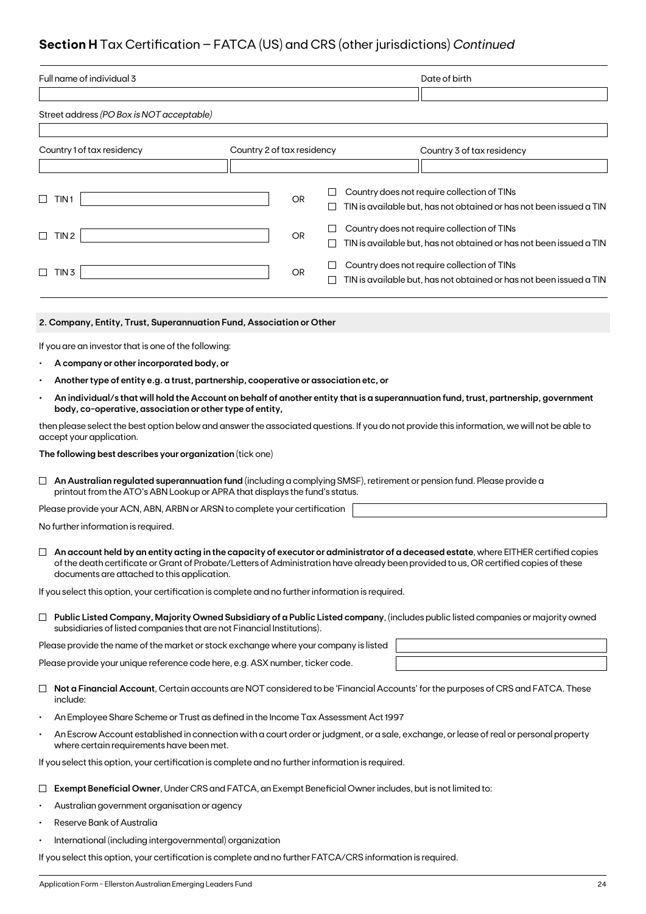## **Section H** Tax Certification – FATCA (US) and CRS (other jurisdictions) *Continued*

| Full name of individual 3                                                                                                                                                                                                                                                                                                    |                            |             | Date of birth                                                                                                                                |  |  |  |  |  |
|------------------------------------------------------------------------------------------------------------------------------------------------------------------------------------------------------------------------------------------------------------------------------------------------------------------------------|----------------------------|-------------|----------------------------------------------------------------------------------------------------------------------------------------------|--|--|--|--|--|
|                                                                                                                                                                                                                                                                                                                              |                            |             |                                                                                                                                              |  |  |  |  |  |
| Street address (PO Box is NOT acceptable)                                                                                                                                                                                                                                                                                    |                            |             |                                                                                                                                              |  |  |  |  |  |
| Country 1 of tax residency                                                                                                                                                                                                                                                                                                   | Country 2 of tax residency |             | Country 3 of tax residency                                                                                                                   |  |  |  |  |  |
|                                                                                                                                                                                                                                                                                                                              |                            |             |                                                                                                                                              |  |  |  |  |  |
|                                                                                                                                                                                                                                                                                                                              |                            |             |                                                                                                                                              |  |  |  |  |  |
| □<br>TIN 1                                                                                                                                                                                                                                                                                                                   | <b>OR</b>                  | Ш           | Country does not require collection of TINs<br>TIN is available but, has not obtained or has not been issued a TIN                           |  |  |  |  |  |
| TIN 2<br>$\Box$                                                                                                                                                                                                                                                                                                              | <b>OR</b>                  | ⊔<br>$\Box$ | Country does not require collection of TINs<br>TIN is available but, has not obtained or has not been issued a TIN                           |  |  |  |  |  |
|                                                                                                                                                                                                                                                                                                                              |                            |             | Country does not require collection of TINs                                                                                                  |  |  |  |  |  |
| $\Box$ TIN 3                                                                                                                                                                                                                                                                                                                 | OR                         | ப           | TIN is available but, has not obtained or has not been issued a TIN                                                                          |  |  |  |  |  |
|                                                                                                                                                                                                                                                                                                                              |                            |             |                                                                                                                                              |  |  |  |  |  |
| 2. Company, Entity, Trust, Superannuation Fund, Association or Other                                                                                                                                                                                                                                                         |                            |             |                                                                                                                                              |  |  |  |  |  |
| If you are an investor that is one of the following:                                                                                                                                                                                                                                                                         |                            |             |                                                                                                                                              |  |  |  |  |  |
| A company or other incorporated body, or                                                                                                                                                                                                                                                                                     |                            |             |                                                                                                                                              |  |  |  |  |  |
| Another type of entity e.g. a trust, partnership, cooperative or association etc, or                                                                                                                                                                                                                                         |                            |             |                                                                                                                                              |  |  |  |  |  |
| body, co-operative, association or other type of entity,                                                                                                                                                                                                                                                                     |                            |             | An individual/s that will hold the Account on behalf of another entity that is a superannuation fund, trust, partnership, government         |  |  |  |  |  |
| accept your application.                                                                                                                                                                                                                                                                                                     |                            |             | then please select the best option below and answer the associated questions. If you do not provide this information, we will not be able to |  |  |  |  |  |
| The following best describes your organization (tick one)                                                                                                                                                                                                                                                                    |                            |             |                                                                                                                                              |  |  |  |  |  |
| An Australian regulated superannuation fund (including a complying SMSF), retirement or pension fund. Please provide a<br>⊔<br>printout from the ATO's ABN Lookup or APRA that displays the fund's status.                                                                                                                   |                            |             |                                                                                                                                              |  |  |  |  |  |
| Please provide your ACN, ABN, ARBN or ARSN to complete your certification                                                                                                                                                                                                                                                    |                            |             |                                                                                                                                              |  |  |  |  |  |
| No further information is required.                                                                                                                                                                                                                                                                                          |                            |             |                                                                                                                                              |  |  |  |  |  |
| An account held by an entity acting in the capacity of executor or administrator of a deceased estate, where EITHER certified copies<br>of the death certificate or Grant of Probate/Letters of Administration have already been provided to us, OR certified copies of these<br>documents are attached to this application. |                            |             |                                                                                                                                              |  |  |  |  |  |
| If you select this option, your certification is complete and no further information is required.                                                                                                                                                                                                                            |                            |             |                                                                                                                                              |  |  |  |  |  |
| subsidiaries of listed companies that are not Financial Institutions).                                                                                                                                                                                                                                                       |                            |             | $\Box$ Public Listed Company, Majority Owned Subsidiary of a Public Listed company, (includes public listed companies or majority owned      |  |  |  |  |  |
| Please provide the name of the market or stock exchange where your company is listed                                                                                                                                                                                                                                         |                            |             |                                                                                                                                              |  |  |  |  |  |
| Please provide your unique reference code here, e.g. ASX number, ticker code.                                                                                                                                                                                                                                                |                            |             |                                                                                                                                              |  |  |  |  |  |
| include:                                                                                                                                                                                                                                                                                                                     |                            |             | Not a Financial Account, Certain accounts are NOT considered to be 'Financial Accounts' for the purposes of CRS and FATCA. These             |  |  |  |  |  |
| An Employee Share Scheme or Trust as defined in the Income Tax Assessment Act 1997<br>$\bullet$                                                                                                                                                                                                                              |                            |             |                                                                                                                                              |  |  |  |  |  |
| where certain requirements have been met.                                                                                                                                                                                                                                                                                    |                            |             | An Escrow Account established in connection with a court order or judgment, or a sale, exchange, or lease of real or personal property       |  |  |  |  |  |
| If you select this option, your certification is complete and no further information is required.                                                                                                                                                                                                                            |                            |             |                                                                                                                                              |  |  |  |  |  |
| Exempt Beneficial Owner, Under CRS and FATCA, an Exempt Beneficial Owner includes, but is not limited to:                                                                                                                                                                                                                    |                            |             |                                                                                                                                              |  |  |  |  |  |

- Australian government organisation or agency
- Reserve Bank of Australia
- International (including intergovernmental) organization

If you select this option, your certification is complete and no further FATCA/CRS information is required.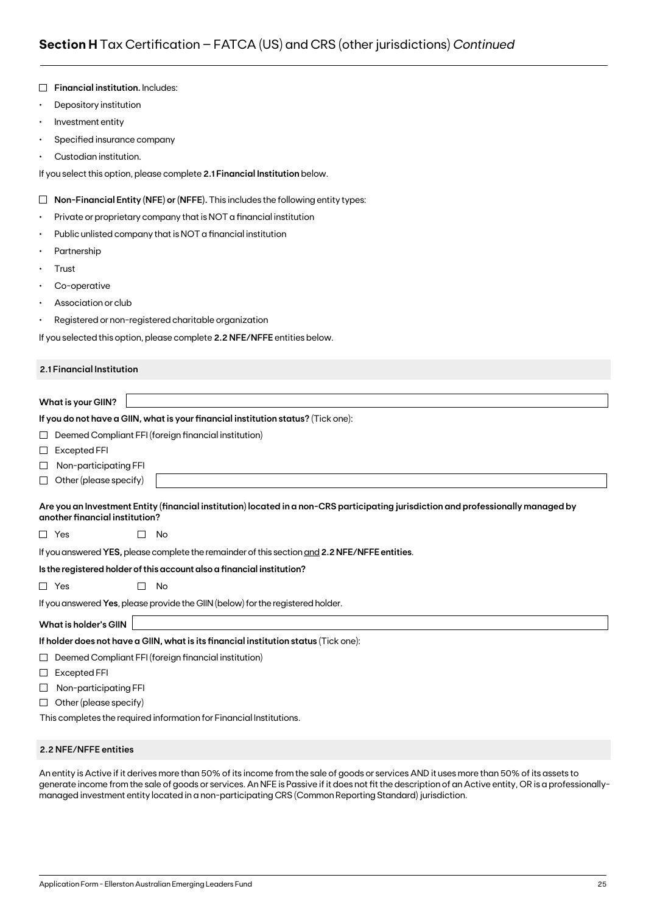|           | Financial institution. Includes:                                                                                                                                     |
|-----------|----------------------------------------------------------------------------------------------------------------------------------------------------------------------|
| $\bullet$ | Depository institution                                                                                                                                               |
| $\bullet$ | Investment entity                                                                                                                                                    |
| ٠         | Specified insurance company                                                                                                                                          |
|           | Custodian institution.                                                                                                                                               |
|           | If you select this option, please complete 2.1 Financial Institution below.                                                                                          |
| $\Box$    | Non-Financial Entity (NFE) or (NFFE). This includes the following entity types:                                                                                      |
| ٠         | Private or proprietary company that is NOT a financial institution                                                                                                   |
| ٠         | Public unlisted company that is NOT a financial institution                                                                                                          |
|           | Partnership                                                                                                                                                          |
| ٠         | Trust                                                                                                                                                                |
| ٠         | Co-operative                                                                                                                                                         |
|           | Association or club                                                                                                                                                  |
| ٠         | Registered or non-registered charitable organization                                                                                                                 |
|           | If you selected this option, please complete 2.2 NFE/NFFE entities below.                                                                                            |
|           | 2.1 Financial Institution                                                                                                                                            |
|           |                                                                                                                                                                      |
|           | <b>What is your GIIN?</b>                                                                                                                                            |
|           | If you do not have a GIIN, what is your financial institution status? (Tick one):                                                                                    |
| ப         | Deemed Compliant FFI (foreign financial institution)                                                                                                                 |
| $\sqcup$  | <b>Excepted FFI</b>                                                                                                                                                  |
| ⊔         | Non-participating FFI                                                                                                                                                |
| ⊔         | Other (please specify)                                                                                                                                               |
|           | Are you an Investment Entity (financial institution) located in a non-CRS participating jurisdiction and professionally managed by<br>another financial institution? |
|           | $\Box$ Yes<br>No                                                                                                                                                     |
|           | If you answered YES, please complete the remainder of this section and 2.2 NFE/NFFE entities.                                                                        |
|           | Is the registered holder of this account also a financial institution?                                                                                               |
|           | $\Box$ Yes<br>П<br>No                                                                                                                                                |
|           | If you answered Yes, please provide the GIIN (below) for the registered holder.                                                                                      |
|           | <b>What is holder's GIIN</b>                                                                                                                                         |
|           | If holder does not have a GIIN, what is its financial institution status (Tick one):                                                                                 |
| ⊔         | Deemed Compliant FFI (foreign financial institution)                                                                                                                 |
| ⊔         | Excepted FFI                                                                                                                                                         |
| ⊔         | Non-participating FFI                                                                                                                                                |
| ⊔         | Other (please specify)                                                                                                                                               |
|           | This completes the required information for Financial Institutions.                                                                                                  |

### **2.2 NFE/NFFE entities**

An entity is Active if it derives more than 50% of its income from the sale of goods or services AND it uses more than 50% of its assets to generate income from the sale of goods or services. An NFE is Passive if it does not fit the description of an Active entity, OR is a professionallymanaged investment entity located in a non-participating CRS (Common Reporting Standard) jurisdiction.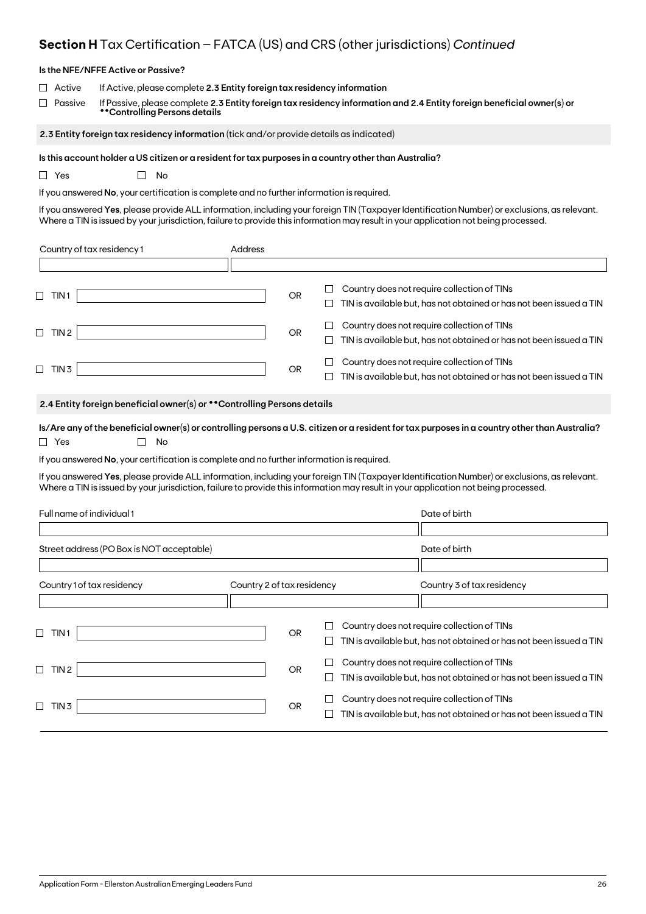## **Section H** Tax Certification – FATCA (US) and CRS (other jurisdictions) *Continued*

| Is the NFE/NFFE Active or Passive?                                                                                                                                                                                                                                                  |                                                                                                                        |           |              |                                                                                                                    |  |  |  |  |  |  |
|-------------------------------------------------------------------------------------------------------------------------------------------------------------------------------------------------------------------------------------------------------------------------------------|------------------------------------------------------------------------------------------------------------------------|-----------|--------------|--------------------------------------------------------------------------------------------------------------------|--|--|--|--|--|--|
| Active                                                                                                                                                                                                                                                                              | If Active, please complete 2.3 Entity foreign tax residency information                                                |           |              |                                                                                                                    |  |  |  |  |  |  |
| Passive<br>**Controlling Persons details                                                                                                                                                                                                                                            | If Passive, please complete 2.3 Entity foreign tax residency information and 2.4 Entity foreign beneficial owner(s) or |           |              |                                                                                                                    |  |  |  |  |  |  |
| 2.3 Entity foreign tax residency information (tick and/or provide details as indicated)                                                                                                                                                                                             |                                                                                                                        |           |              |                                                                                                                    |  |  |  |  |  |  |
| Is this account holder a US citizen or a resident for tax purposes in a country other than Australia?                                                                                                                                                                               |                                                                                                                        |           |              |                                                                                                                    |  |  |  |  |  |  |
| $\Box$ Yes<br>No                                                                                                                                                                                                                                                                    |                                                                                                                        |           |              |                                                                                                                    |  |  |  |  |  |  |
| If you answered No, your certification is complete and no further information is required.                                                                                                                                                                                          |                                                                                                                        |           |              |                                                                                                                    |  |  |  |  |  |  |
| If you answered Yes, please provide ALL information, including your foreign TIN (Taxpayer Identification Number) or exclusions, as relevant.<br>Where a TIN is issued by your jurisdiction, failure to provide this information may result in your application not being processed. |                                                                                                                        |           |              |                                                                                                                    |  |  |  |  |  |  |
| Country of tax residency 1                                                                                                                                                                                                                                                          | Address                                                                                                                |           |              |                                                                                                                    |  |  |  |  |  |  |
|                                                                                                                                                                                                                                                                                     |                                                                                                                        |           |              |                                                                                                                    |  |  |  |  |  |  |
| $\Box$ TIN1                                                                                                                                                                                                                                                                         |                                                                                                                        | <b>OR</b> | $\Box$<br>⊔  | Country does not require collection of TINs<br>TIN is available but, has not obtained or has not been issued a TIN |  |  |  |  |  |  |
| $\Box$ TIN 2                                                                                                                                                                                                                                                                        |                                                                                                                        | OR        | ப<br>ப       | Country does not require collection of TINs<br>TIN is available but, has not obtained or has not been issued a TIN |  |  |  |  |  |  |
| $\Box$ TIN 3                                                                                                                                                                                                                                                                        |                                                                                                                        | OR        | $\mathsf{L}$ | Country does not require collection of TINs<br>TIN is available but, has not obtained or has not been issued a TIN |  |  |  |  |  |  |
| 2.4 Entity foreign beneficial owner(s) or ** Controlling Persons details                                                                                                                                                                                                            |                                                                                                                        |           |              |                                                                                                                    |  |  |  |  |  |  |
| Is/Are any of the beneficial owner(s) or controlling persons a U.S. citizen or a resident for tax purposes in a country other than Australia?<br>$\Box$ Yes<br>No                                                                                                                   |                                                                                                                        |           |              |                                                                                                                    |  |  |  |  |  |  |
| If you answered No, your certification is complete and no further information is required.                                                                                                                                                                                          |                                                                                                                        |           |              |                                                                                                                    |  |  |  |  |  |  |
| If you answered Yes, please provide ALL information, including your foreign TIN (Taxpayer Identification Number) or exclusions, as relevant.<br>Where a TIN is issued by your jurisdiction, failure to provide this information may result in your application not being processed. |                                                                                                                        |           |              |                                                                                                                    |  |  |  |  |  |  |
| Full name of individual 1                                                                                                                                                                                                                                                           |                                                                                                                        |           |              | Date of birth                                                                                                      |  |  |  |  |  |  |
|                                                                                                                                                                                                                                                                                     |                                                                                                                        |           |              |                                                                                                                    |  |  |  |  |  |  |
| Street address (PO Box is NOT acceptable)                                                                                                                                                                                                                                           |                                                                                                                        |           |              | Date of birth                                                                                                      |  |  |  |  |  |  |
|                                                                                                                                                                                                                                                                                     |                                                                                                                        |           |              |                                                                                                                    |  |  |  |  |  |  |
| Country 1 of tax residency                                                                                                                                                                                                                                                          | Country 2 of tax residency                                                                                             |           |              | Country 3 of tax residency                                                                                         |  |  |  |  |  |  |
|                                                                                                                                                                                                                                                                                     |                                                                                                                        |           |              |                                                                                                                    |  |  |  |  |  |  |
| $\Box$ TIN1                                                                                                                                                                                                                                                                         |                                                                                                                        | <b>OR</b> | ப            | Country does not require collection of TINs<br>TIN is available but, has not obtained or has not been issued a TIN |  |  |  |  |  |  |
|                                                                                                                                                                                                                                                                                     |                                                                                                                        |           | $\Box$       | Country does not require collection of TINs                                                                        |  |  |  |  |  |  |
| $\Box$<br>TIN 2                                                                                                                                                                                                                                                                     |                                                                                                                        | OR.       | ⊔            | TIN is available but, has not obtained or has not been issued a TIN                                                |  |  |  |  |  |  |
| TIN <sub>3</sub><br>$\Box$                                                                                                                                                                                                                                                          |                                                                                                                        | <b>OR</b> | ⊔<br>⊔       | Country does not require collection of TINs<br>TIN is available but, has not obtained or has not been issued a TIN |  |  |  |  |  |  |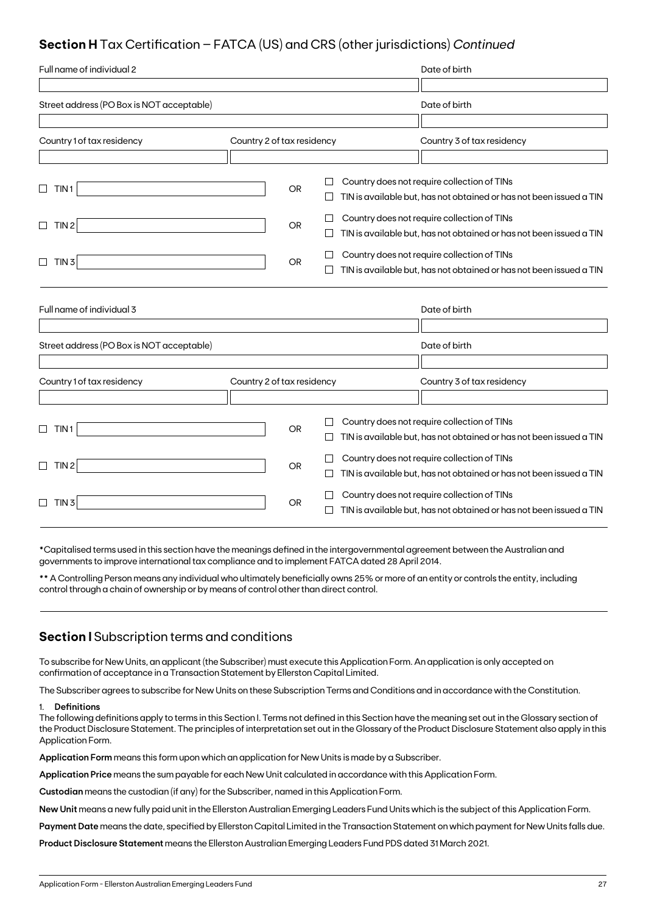## **Section H** Tax Certification – FATCA (US) and CRS (other jurisdictions) *Continued*

| Full name of individual 2                 |                            |           |         | Date of birth                                                                                                      |
|-------------------------------------------|----------------------------|-----------|---------|--------------------------------------------------------------------------------------------------------------------|
|                                           |                            |           |         |                                                                                                                    |
| Street address (PO Box is NOT acceptable) |                            |           |         | Date of birth                                                                                                      |
|                                           |                            |           |         |                                                                                                                    |
| Country 1 of tax residency                | Country 2 of tax residency |           |         | Country 3 of tax residency                                                                                         |
|                                           |                            |           |         |                                                                                                                    |
| $\Box$<br>TIN <sub>1</sub>                |                            | <b>OR</b> |         | Country does not require collection of TINs<br>TIN is available but, has not obtained or has not been issued a TIN |
| TIN <sub>2</sub><br>$\Box$                |                            | <b>OR</b> |         | Country does not require collection of TINs<br>TIN is available but, has not obtained or has not been issued a TIN |
| $\Box$<br>TIN <sub>3</sub>                |                            | <b>OR</b> |         | Country does not require collection of TINs<br>TIN is available but, has not obtained or has not been issued a TIN |
| Full name of individual 3                 |                            |           |         | Date of birth                                                                                                      |
| Street address (PO Box is NOT acceptable) |                            |           |         | Date of birth                                                                                                      |
|                                           |                            |           |         |                                                                                                                    |
| Country 1 of tax residency                | Country 2 of tax residency |           |         | Country 3 of tax residency                                                                                         |
| TIN 1<br>⊔                                |                            | <b>OR</b> | $\perp$ | Country does not require collection of TINs<br>TIN is available but, has not obtained or has not been issued a TIN |
| TIN <sub>2</sub><br>$\Box$                |                            | <b>OR</b> |         | Country does not require collection of TINs<br>TIN is available but, has not obtained or has not been issued a TIN |
| TIN <sub>3</sub><br>$\Box$                |                            | OR.       |         | Country does not require collection of TINs<br>TIN is available but, has not obtained or has not been issued a TIN |

\*Capitalised terms used in this section have the meanings defined in the intergovernmental agreement between the Australian and governments to improve international tax compliance and to implement FATCA dated 28 April 2014.

\*\* A Controlling Person means any individual who ultimately beneficially owns 25% or more of an entity or controls the entity, including control through a chain of ownership or by means of control other than direct control.

### **Section I** Subscription terms and conditions

To subscribe for New Units, an applicant (the Subscriber) must execute this Application Form. An application is only accepted on confirmation of acceptance in a Transaction Statement by Ellerston Capital Limited.

The Subscriber agrees to subscribe for New Units on these Subscription Terms and Conditions and in accordance with the Constitution.

### 1. **Definitions**

The following definitions apply to terms in this Section I. Terms not defined in this Section have the meaning set out in the Glossary section of the Product Disclosure Statement. The principles of interpretation set out in the Glossary of the Product Disclosure Statement also apply in this Application Form.

**Application Form** means this form upon which an application for New Units is made by a Subscriber.

**Application Price** means the sum payable for each New Unit calculated in accordance with this Application Form.

**Custodian** means the custodian (if any) for the Subscriber, named in this Application Form.

**New Unit** means a new fully paid unit in the Ellerston Australian Emerging Leaders Fund Units which is the subject of this Application Form.

**Payment Date** means the date, specified by Ellerston Capital Limited in the Transaction Statement on which payment for New Units falls due.

**Product Disclosure Statement** means the Ellerston Australian Emerging Leaders Fund PDS dated 31 March 2021.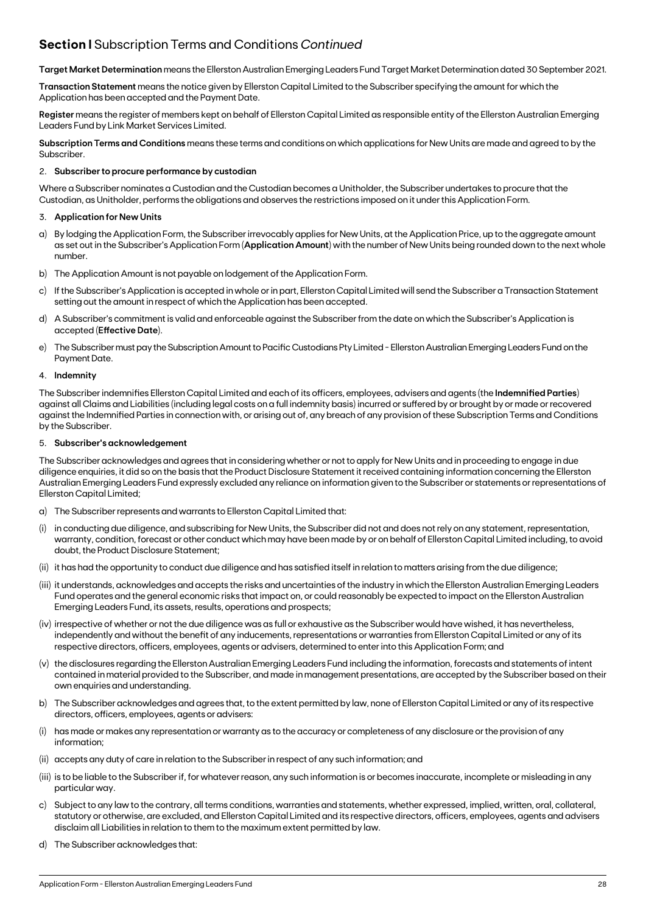## **Section I** Subscription Terms and Conditions *Continued*

**Target Market Determination** means the Ellerston Australian Emerging Leaders Fund Target Market Determination dated 30 September 2021.

**Transaction Statement** means the notice given by Ellerston Capital Limited to the Subscriber specifying the amount for which the Application has been accepted and the Payment Date.

**Register** means the register of members kept on behalf of Ellerston Capital Limited as responsible entity of the Ellerston Australian Emerging Leaders Fund by Link Market Services Limited.

**Subscription Terms and Conditions** means these terms and conditions on which applications for New Units are made and agreed to by the Subscriber.

### 2. **Subscriber to procure performance by custodian**

Where a Subscriber nominates a Custodian and the Custodian becomes a Unitholder, the Subscriber undertakes to procure that the Custodian, as Unitholder, performs the obligations and observes the restrictions imposed on it under this Application Form.

### 3. **Application for New Units**

- a) By lodging the Application Form, the Subscriber irrevocably applies for New Units, at the Application Price, up to the aggregate amount as set out in the Subscriber's Application Form (**Application Amount**) with the number of New Units being rounded down to the next whole number.
- b) The Application Amount is not payable on lodgement of the Application Form.
- c) If the Subscriber's Application is accepted in whole or in part, Ellerston Capital Limited will send the Subscriber a Transaction Statement setting out the amount in respect of which the Application has been accepted.
- d) A Subscriber's commitment is valid and enforceable against the Subscriber from the date on which the Subscriber's Application is accepted (**Effective Date**).
- e) The Subscriber must pay the Subscription Amount to Pacific Custodians Pty Limited Ellerston Australian Emerging Leaders Fund on the Payment Date.

### 4. **Indemnity**

The Subscriber indemnifies Ellerston Capital Limited and each of its officers, employees, advisers and agents (the **Indemnified Parties**) against all Claims and Liabilities (including legal costs on a full indemnity basis) incurred or suffered by or brought by or made or recovered against the Indemnified Parties in connection with, or arising out of, any breach of any provision of these Subscription Terms and Conditions by the Subscriber.

### 5. **Subscriber's acknowledgement**

The Subscriber acknowledges and agrees that in considering whether or not to apply for New Units and in proceeding to engage in due diligence enquiries, it did so on the basis that the Product Disclosure Statement it received containing information concerning the Ellerston Australian Emerging Leaders Fund expressly excluded any reliance on information given to the Subscriber or statements or representations of Ellerston Capital Limited;

- a) The Subscriber represents and warrants to Ellerston Capital Limited that:
- in conducting due diligence, and subscribing for New Units, the Subscriber did not and does not rely on any statement, representation, warranty, condition, forecast or other conduct which may have been made by or on behalf of Ellerston Capital Limited including, to avoid doubt, the Product Disclosure Statement;
- (ii) it has had the opportunity to conduct due diligence and has satisfied itself in relation to matters arising from the due diligence;
- (iii) it understands, acknowledges and accepts the risks and uncertainties of the industry in which the Ellerston Australian Emerging Leaders Fund operates and the general economic risks that impact on, or could reasonably be expected to impact on the Ellerston Australian Emerging Leaders Fund, its assets, results, operations and prospects;
- (iv) irrespective of whether or not the due diligence was as full or exhaustive as the Subscriber would have wished, it has nevertheless, independently and without the benefit of any inducements, representations or warranties from Ellerston Capital Limited or any of its respective directors, officers, employees, agents or advisers, determined to enter into this Application Form; and
- (v) the disclosures regarding the Ellerston Australian Emerging Leaders Fund including the information, forecasts and statements of intent contained in material provided to the Subscriber, and made in management presentations, are accepted by the Subscriber based on their own enquiries and understanding.
- b) The Subscriber acknowledges and agrees that, to the extent permitted by law, none of Ellerston Capital Limited or any of its respective directors, officers, employees, agents or advisers:
- (i) has made or makes any representation or warranty as to the accuracy or completeness of any disclosure or the provision of any information;
- (ii) accepts any duty of care in relation to the Subscriber in respect of any such information; and
- (iii) is to be liable to the Subscriber if, for whatever reason, any such information is or becomes inaccurate, incomplete or misleading in any particular way.
- c) Subject to any law to the contrary, all terms conditions, warranties and statements, whether expressed, implied, written, oral, collateral, statutory or otherwise, are excluded, and Ellerston Capital Limited and its respective directors, officers, employees, agents and advisers disclaim all Liabilities in relation to them to the maximum extent permitted by law.
- d) The Subscriber acknowledges that: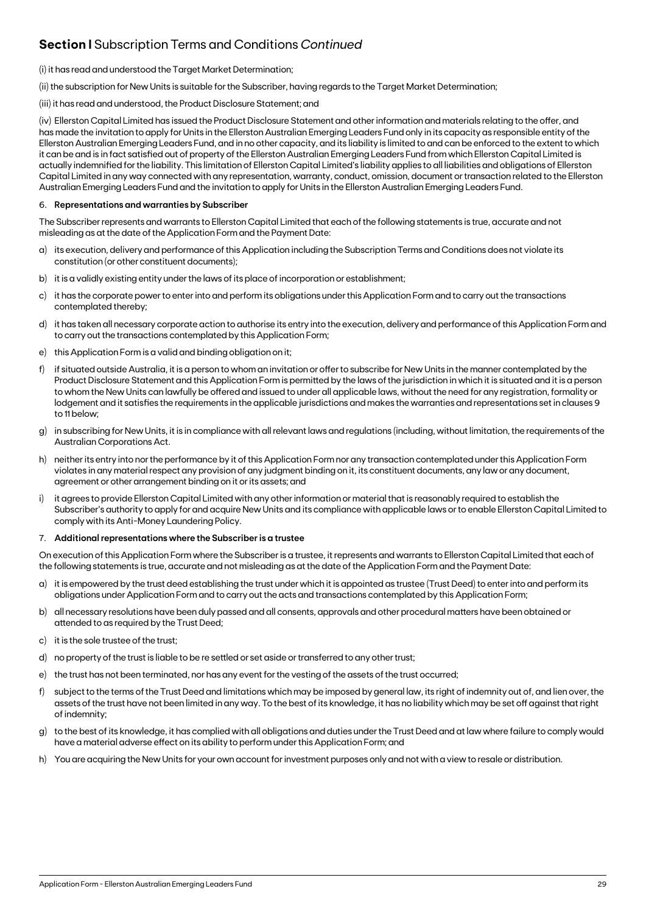## **Section I** Subscription Terms and Conditions *Continued*

### (i) it has read and understood the Target Market Determination;

(ii) the subscription for New Units is suitable for the Subscriber, having regards to the Target Market Determination;

### (iii) it has read and understood, the Product Disclosure Statement; and

(iv) Ellerston Capital Limited has issued the Product Disclosure Statement and other information and materials relating to the offer, and has made the invitation to apply for Units in the Ellerston Australian Emerging Leaders Fund only in its capacity as responsible entity of the Ellerston Australian Emerging Leaders Fund, and in no other capacity, and its liability is limited to and can be enforced to the extent to which it can be and is in fact satisfied out of property of the Ellerston Australian Emerging Leaders Fund from which Ellerston Capital Limited is actually indemnified for the liability. This limitation of Ellerston Capital Limited's liability applies to all liabilities and obligations of Ellerston Capital Limited in any way connected with any representation, warranty, conduct, omission, document or transaction related to the Ellerston Australian Emerging Leaders Fund and the invitation to apply for Units in the Ellerston Australian Emerging Leaders Fund.

### 6. **Representations and warranties by Subscriber**

The Subscriber represents and warrants to Ellerston Capital Limited that each of the following statements is true, accurate and not misleading as at the date of the Application Form and the Payment Date:

- a) its execution, delivery and performance of this Application including the Subscription Terms and Conditions does not violate its constitution (or other constituent documents);
- b) it is a validly existing entity under the laws of its place of incorporation or establishment;
- c) it has the corporate power to enter into and perform its obligations under this Application Form and to carry out the transactions contemplated thereby;
- d) it has taken all necessary corporate action to authorise its entry into the execution, delivery and performance of this Application Form and to carry out the transactions contemplated by this Application Form;
- e) this Application Form is a valid and binding obligation on it;
- f) if situated outside Australia, it is a person to whom an invitation or offer to subscribe for New Units in the manner contemplated by the Product Disclosure Statement and this Application Form is permitted by the laws of the jurisdiction in which it is situated and it is a person to whom the New Units can lawfully be offered and issued to under all applicable laws, without the need for any registration, formality or lodgement and it satisfies the requirements in the applicable jurisdictions and makes the warranties and representations set in clauses 9 to 11 below;
- g) in subscribing for New Units, it is in compliance with all relevant laws and regulations (including, without limitation, the requirements of the Australian Corporations Act.
- h) neither its entry into nor the performance by it of this Application Form nor any transaction contemplated under this Application Form violates in any material respect any provision of any judgment binding on it, its constituent documents, any law or any document, agreement or other arrangement binding on it or its assets; and
- i) it agrees to provide Ellerston Capital Limited with any other information or material that is reasonably required to establish the Subscriber's authority to apply for and acquire New Units and its compliance with applicable laws or to enable Ellerston Capital Limited to comply with its Anti-Money Laundering Policy.

### 7. **Additional representations where the Subscriber is a trustee**

On execution of this Application Form where the Subscriber is a trustee, it represents and warrants to Ellerston Capital Limited that each of the following statements is true, accurate and not misleading as at the date of the Application Form and the Payment Date:

- a) it is empowered by the trust deed establishing the trust under which it is appointed as trustee (Trust Deed) to enter into and perform its obligations under Application Form and to carry out the acts and transactions contemplated by this Application Form;
- b) all necessary resolutions have been duly passed and all consents, approvals and other procedural matters have been obtained or attended to as required by the Trust Deed;
- c) it is the sole trustee of the trust;
- d) no property of the trust is liable to be re settled or set aside or transferred to any other trust;
- e) the trust has not been terminated, nor has any event for the vesting of the assets of the trust occurred;
- f) subject to the terms of the Trust Deed and limitations which may be imposed by general law, its right of indemnity out of, and lien over, the assets of the trust have not been limited in any way. To the best of its knowledge, it has no liability which may be set off against that right of indemnity;
- g) to the best of its knowledge, it has complied with all obligations and duties under the Trust Deed and at law where failure to comply would have a material adverse effect on its ability to perform under this Application Form; and
- h) You are acquiring the New Units for your own account for investment purposes only and not with a view to resale or distribution.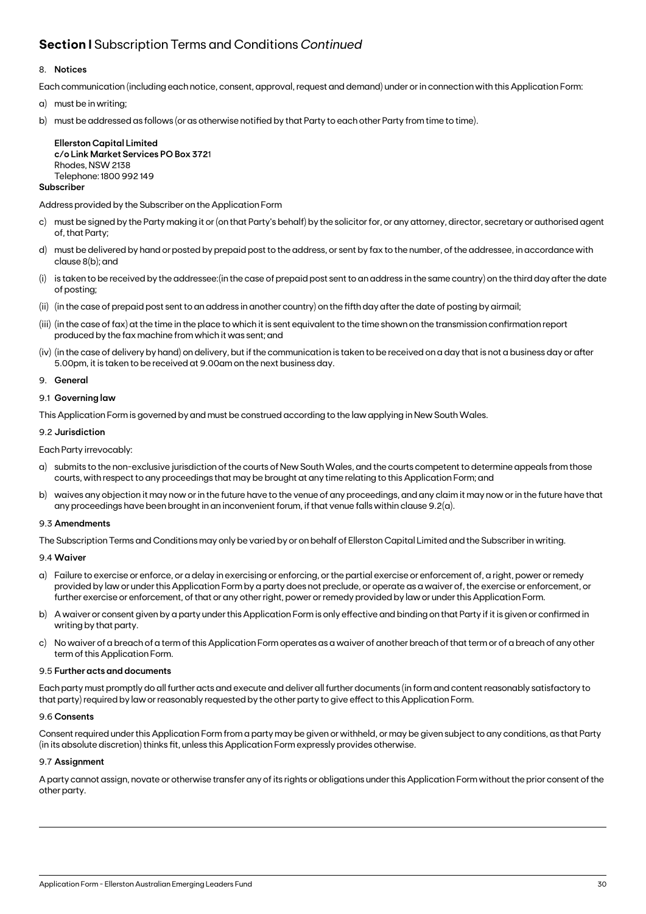## **Section I** Subscription Terms and Conditions *Continued*

### 8. **Notices**

Each communication (including each notice, consent, approval, request and demand) under or in connection with this Application Form:

- a) must be in writing;
- b) must be addressed as follows (or as otherwise notified by that Party to each other Party from time to time).

**Ellerston Capital Limited c/o Link Market Services PO Box 372**1 Rhodes, NSW 2138 Telephone: 1800 992 149

### **Subscriber**

Address provided by the Subscriber on the Application Form

- c) must be signed by the Party making it or (on that Party's behalf) by the solicitor for, or any attorney, director, secretary or authorised agent of, that Party;
- d) must be delivered by hand or posted by prepaid post to the address, or sent by fax to the number, of the addressee, in accordance with clause 8(b); and
- (i) is taken to be received by the addressee:(in the case of prepaid post sent to an address in the same country) on the third day after the date of posting;
- (ii) (in the case of prepaid post sent to an address in another country) on the fifth day after the date of posting by airmail;
- (iii) (in the case of fax) at the time in the place to which it is sent equivalent to the time shown on the transmission confirmation report produced by the fax machine from which it was sent; and
- (iv) (in the case of delivery by hand) on delivery, but if the communication is taken to be received on a day that is not a business day or after 5.00pm, it is taken to be received at 9.00am on the next business day.
- 9. **General**

### 9.1 **Governing law**

This Application Form is governed by and must be construed according to the law applying in New South Wales.

### 9.2 **Jurisdiction**

Each Party irrevocably:

- a) submits to the non-exclusive jurisdiction of the courts of New South Wales, and the courts competent to determine appeals from those courts, with respect to any proceedings that may be brought at any time relating to this Application Form; and
- b) waives any objection it may now or in the future have to the venue of any proceedings, and any claim it may now or in the future have that any proceedings have been brought in an inconvenient forum, if that venue falls within clause 9.2(a).

### 9.3 **Amendments**

The Subscription Terms and Conditions may only be varied by or on behalf of Ellerston Capital Limited and the Subscriber in writing.

### 9.4 **Waiver**

- a) Failure to exercise or enforce, or a delay in exercising or enforcing, or the partial exercise or enforcement of, a right, power or remedy provided by law or under this Application Form by a party does not preclude, or operate as a waiver of, the exercise or enforcement, or further exercise or enforcement, of that or any other right, power or remedy provided by law or under this Application Form.
- b) A waiver or consent given by a party under this Application Form is only effective and binding on that Party if it is given or confirmed in writing by that party.
- c) No waiver of a breach of a term of this Application Form operates as a waiver of another breach of that term or of a breach of any other term of this Application Form.

### 9.5 **Further acts and documents**

Each party must promptly do all further acts and execute and deliver all further documents (in form and content reasonably satisfactory to that party) required by law or reasonably requested by the other party to give effect to this Application Form.

### 9.6 **Consents**

Consent required under this Application Form from a party may be given or withheld, or may be given subject to any conditions, as that Party (in its absolute discretion) thinks fit, unless this Application Form expressly provides otherwise.

### 9.7 **Assignment**

A party cannot assign, novate or otherwise transfer any of its rights or obligations under this Application Form without the prior consent of the other party.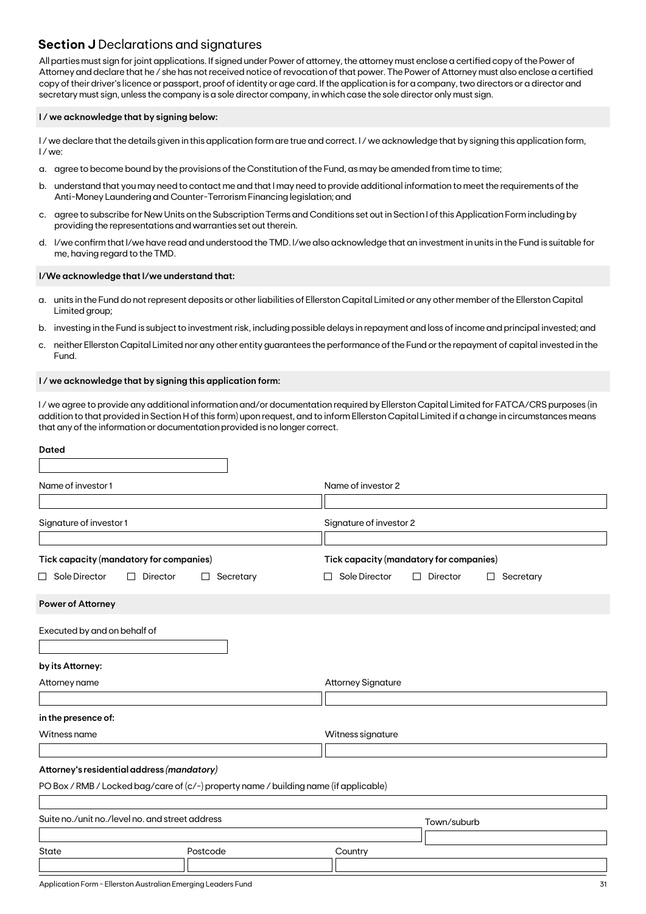### **Section J** Declarations and signatures

All parties must sign for joint applications. If signed under Power of attorney, the attorney must enclose a certified copy of the Power of Attorney and declare that he / she has not received notice of revocation of that power. The Power of Attorney must also enclose a certified copy of their driver's licence or passport, proof of identity or age card. If the application is for a company, two directors or a director and secretary must sign, unless the company is a sole director company, in which case the sole director only must sign.

### **I / we acknowledge that by signing below:**

I/we declare that the details given in this application form are true and correct. I/we acknowledge that by signing this application form, I / we:

- a. agree to become bound by the provisions of the Constitution of the Fund, as may be amended from time to time;
- b. understand that you may need to contact me and that I may need to provide additional information to meet the requirements of the Anti-Money Laundering and Counter-Terrorism Financing legislation; and
- c. agree to subscribe for New Units on the Subscription Terms and Conditions set out in Section I of this Application Form including by providing the representations and warranties set out therein.
- d. I/we confirm that I/we have read and understood the TMD. I/we also acknowledge that an investment in units in the Fund is suitable for me, having regard to the TMD.

### **I/We acknowledge that I/we understand that:**

- a. units in the Fund do not represent deposits or other liabilities of Ellerston Capital Limited or any other member of the Ellerston Capital Limited group;
- b. investing in the Fund is subject to investment risk, including possible delays in repayment and loss of income and principal invested; and
- c. neither Ellerston Capital Limited nor any other entity guarantees the performance of the Fund or the repayment of capital invested in the Fund.

### **I / we acknowledge that by signing this application form:**

I / we agree to provide any additional information and/or documentation required by Ellerston Capital Limited for FATCA/CRS purposes (in addition to that provided in Section H of this form) upon request, and to inform Ellerston Capital Limited if a change in circumstances means that any of the information or documentation provided is no longer correct.

| <b>Dated</b>                                                                          |                                     |                           |                                                                            |  |  |  |
|---------------------------------------------------------------------------------------|-------------------------------------|---------------------------|----------------------------------------------------------------------------|--|--|--|
| Name of investor1                                                                     |                                     | Name of investor 2        |                                                                            |  |  |  |
| Signature of investor 1                                                               |                                     | Signature of investor 2   |                                                                            |  |  |  |
| Tick capacity (mandatory for companies)<br>$\Box$ Sole Director<br>Director<br>П      | Secretary<br>$\Box$<br>$\mathbf{I}$ | Sole Director             | Tick capacity (mandatory for companies)<br>П<br>Director<br>Secretary<br>П |  |  |  |
| Power of Attorney                                                                     |                                     |                           |                                                                            |  |  |  |
| Executed by and on behalf of                                                          |                                     |                           |                                                                            |  |  |  |
| by its Attorney:                                                                      |                                     |                           |                                                                            |  |  |  |
| Attorney name                                                                         |                                     | <b>Attorney Signature</b> |                                                                            |  |  |  |
| in the presence of:                                                                   |                                     |                           |                                                                            |  |  |  |
| Witness name                                                                          |                                     | Witness signature         |                                                                            |  |  |  |
| Attorney's residential address (mandatory)                                            |                                     |                           |                                                                            |  |  |  |
| PO Box / RMB / Locked bag/care of (c/-) property name / building name (if applicable) |                                     |                           |                                                                            |  |  |  |
| Suite no./unit no./level no. and street address                                       |                                     |                           | Town/suburb                                                                |  |  |  |
| State                                                                                 | Postcode                            | Country                   |                                                                            |  |  |  |
|                                                                                       |                                     |                           |                                                                            |  |  |  |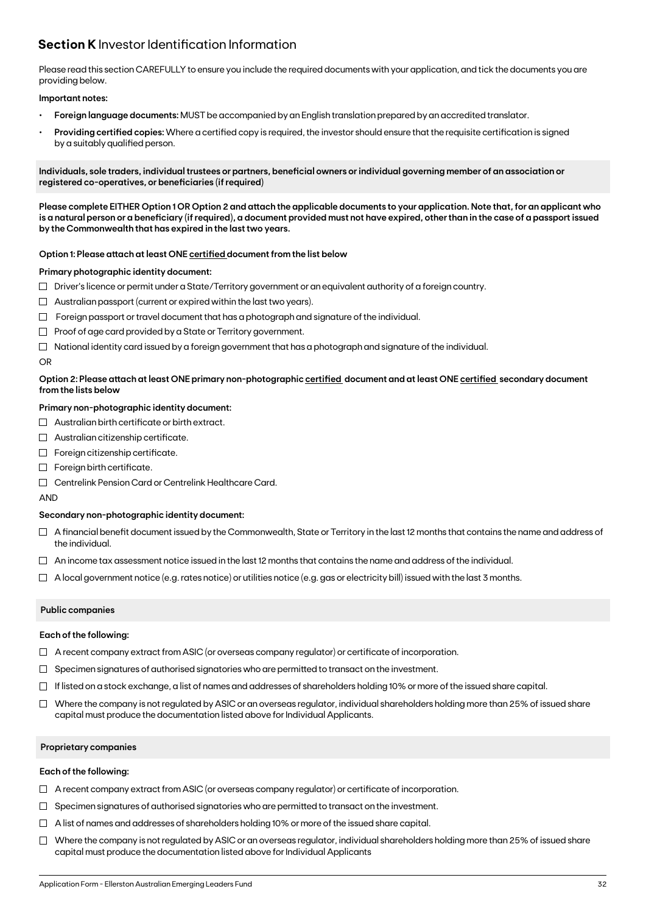## **Section K** Investor Identification Information

Please read this section CAREFULLY to ensure you include the required documents with your application, and tick the documents you are providing below.

### **Important notes:**

- **• Foreign language documents:** MUST be accompanied by an English translation prepared by an accredited translator.
- **Providing certified copies:** Where a certified copy is required, the investor should ensure that the requisite certification is signed by a suitably qualified person.

**Individuals, sole traders, individual trustees or partners, beneficial owners or individual governing member of an association or registered co-operatives, or beneficiaries (if required)**

**Please complete EITHER Option 1 OR Option 2 and attach the applicable documents to your application. Note that, for an applicant who is a natural person or a beneficiary (if required), a document provided must not have expired, other than in the case of a passport issued by the Commonwealth that has expired in the last two years.**

### **Option 1: Please attach at least ONE certified document from the list below**

### **Primary photographic identity document:**

- $\Box$  Driver's licence or permit under a State/Territory government or an equivalent authority of a foreign country.
- $\Box$  Australian passport (current or expired within the last two years).
- $\Box$  Foreign passport or travel document that has a photograph and signature of the individual.
- $\Box$  Proof of age card provided by a State or Territory government.
- $\Box$  National identity card issued by a foreign government that has a photograph and signature of the individual.

### OR

### **Option 2: Please attach at least ONE primary non-photographic certified document and at least ONE certified secondary document from the lists below**

### **Primary non-photographic identity document:**

- $\Box$  Australian birth certificate or birth extract.
- $\Box$  Australian citizenship certificate.
- $\Box$  Foreign citizenship certificate.
- Foreign birth certificate.
- Centrelink Pension Card or Centrelink Healthcare Card.

AND

### **Secondary non-photographic identity document:**

- $\Box$  A financial benefit document issued by the Commonwealth, State or Territory in the last 12 months that contains the name and address of the individual.
- $\Box$  An income tax assessment notice issued in the last 12 months that contains the name and address of the individual.
- $\Box$  A local government notice (e.g. rates notice) or utilities notice (e.g. gas or electricity bill) issued with the last 3 months.

### **Public companies**

### **Each of the following:**

- $\Box$  A recent company extract from ASIC (or overseas company regulator) or certificate of incorporation.
- $\Box$  Specimen signatures of authorised signatories who are permitted to transact on the investment.
- $\Box$  If listed on a stock exchange, a list of names and addresses of shareholders holding 10% or more of the issued share capital.
- $\Box$  Where the company is not regulated by ASIC or an overseas regulator, individual shareholders holding more than 25% of issued share capital must produce the documentation listed above for Individual Applicants.

### **Proprietary companies**

### **Each of the following:**

- $\Box$  A recent company extract from ASIC (or overseas company regulator) or certificate of incorporation.
- $\Box$  Specimen signatures of authorised signatories who are permitted to transact on the investment.
- $\Box$  A list of names and addresses of shareholders holding 10% or more of the issued share capital.
- $\Box$  Where the company is not regulated by ASIC or an overseas regulator, individual shareholders holding more than 25% of issued share capital must produce the documentation listed above for Individual Applicants